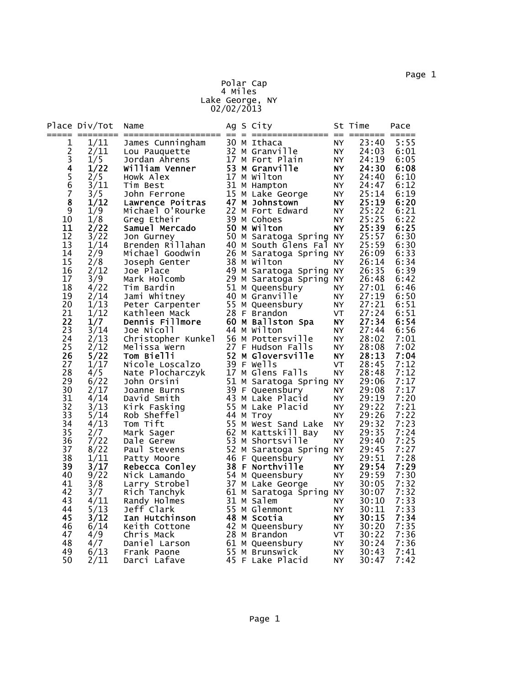Polar Cap

4 Miles Lake George, NY 02/02/2013

| 30 M Ithaca<br>23:40<br>5:55<br>1/11<br>1<br>James Cunningham<br>NY.<br>$\frac{2}{3}$<br>32 M Granville<br>2/11<br>24:03<br>6:01<br>NY.<br>Lou Pauquette<br>1/5<br>17 M Fort Plain<br><b>NY</b><br>24:19<br>6:05<br>Jordan Ahrens<br>4<br>53 M Granville<br>1/22<br>William Venner<br>NY.<br>24:30<br>6:08<br>$\begin{array}{c} 5 \\ 6 \end{array}$<br>2/5<br>17 M Wilton<br>24:40<br>6:10<br>Howk Alex<br>NY.<br>31 M Hampton<br>3/11<br>24:47<br>6:12<br>NY.<br>Tim Best<br>$\overline{7}$<br>15 M Lake George<br>3/5<br>25:14<br>6:19<br>NY<br>John Ferrone<br>8<br>1/12<br>47 M Johnstown<br>25:19<br>6:20<br>Lawrence Poitras<br>NY.<br>22 M Fort Edward<br>6:21<br>9<br>1/9<br>25:22<br>Michael O'Rourke<br>NY.<br>39 M Cohoes<br>25:25<br>6:22<br>10<br>1/8<br>Greg Etheir<br>NY.<br>11<br>2/22<br>50 M Wilton<br>25:39<br>6:25<br><b>NY</b><br>Samuel Mercado<br>12<br>50 M Saratoga Spring<br>25:57<br>6:30<br>3/22<br>NY.<br>Jon Gurney<br>25:59<br>6:30<br>13<br>1/14<br>40 M South Glens Fal<br>Brenden Rillahan<br><b>NY</b><br>14<br>6:33<br>2/9<br>26 M Saratoga Spring NY<br>26:09<br>Michael Goodwin<br>15<br>2/8<br>38 M Wilton<br>26:14<br>6:34<br>Joseph Genter<br>NΥ<br>16<br>49 M Saratoga Spring NY<br>6:39<br>2/12<br>26:35<br>Joe Place<br>3/9<br>29 M Saratoga Spring<br>17<br>26:48<br>6:42<br>Mark Holcomb<br>ΝY<br>51 M Queensbury<br>18<br>4/22<br>27:01<br>Tim Bardin<br>6:46<br>NY.<br>19<br>2/14<br>40 M Granville<br>27:19<br>6:50<br>Jami Whitney<br>NY<br>55 M Queensbury<br>20<br>27:21<br>6:51<br>1/13<br>Peter Carpenter<br>NY.<br>21<br>28 F Brandon<br>27:24<br>6:51<br>1/12<br>Kathleen Mack<br><b>VT</b><br>22<br>27:34<br>6:54<br>1/7<br>Dennis Fillmore<br>60 M Ballston Spa<br><b>NY</b><br>23<br>3/14<br>44 M Wilton<br>27:44<br>6:56<br>Joe Nicoll<br>NY.<br>56 M Pottersville<br>24<br>2/13<br>28:02<br>7:01<br>Christopher Kunkel<br>NY.<br>25<br>2/12<br>27 F Hudson Falls<br>28:08<br>7:02<br>Melissa Wern<br>NΥ<br>52 M Gloversville<br>26<br>5/22<br>Tom Bielli<br>28:13<br>7:04<br><b>NY</b><br>39 F Wells<br>27<br>1/17<br><b>VT</b><br>28:45<br>7:12<br>Nicole Loscalzo<br>28<br>7:12<br>4/5<br>17 M Glens Falls<br>28:48<br>Nate Plocharczyk<br>NY.<br>51 M Saratoga Spring<br>29<br>6/22<br>7:17<br>29:06<br>John Orsini<br>NY.<br>30<br>7:17<br>39 F Queensbury<br>29:08<br>2/17<br>Joanne Burns<br>ΝY<br>43 M Lake Placid<br>7:20<br>31<br>4/14<br>29:19<br>David Smith<br>NY.<br>32<br>3/13<br>55 M Lake Placid<br>7:21<br>29:22<br>Kirk Fasking<br>NY.<br>7:22<br>33<br>5/14<br>29:26<br>Rob Sheffel<br>44 M Troy<br>NY.<br>34<br>55 M West Sand Lake<br>7:23<br>4/13<br>Tom Tift<br>29:32<br>NY.<br>7:24<br>35<br>2/7<br>62 M Kattskill Bay<br>29:35<br>Mark Sager<br>NY.<br>7:25<br>36<br>7/22<br>53 M Shortsville<br>29:40<br>Dale Gerew<br>NY.<br>7:27<br>37<br>52 M Saratoga Spring NY<br>8/22<br>29:45<br>Paul Stevens<br>29:51<br>7:28<br>38<br>1/11<br>46 F Queensbury<br>NY.<br>Patty Moore<br>3/17<br>38 F Northville<br>29:54<br>7:29<br>39<br><b>NY</b><br>Rebecca Conley<br>9/22<br>54 M Queensbury<br>29:59<br>7:30<br>40<br>Nick Lamando<br>NY.<br>41<br>3/8<br>37 M Lake George<br>7:32<br>NY<br>30:05<br>Larry Strobel<br>42<br>Rich Tanchyk<br>61 M Saratoga Spring NY<br>30:07<br>7:32<br>3/7<br>31 M Salem<br>7:33<br>43<br>4/11<br>30:10<br>Randy Holmes<br>NY.<br>7:33<br>55 M Glenmont<br>44<br>5/13<br>30:11<br>Jeff Clark<br>NY.<br>7:34<br>45<br>3/12<br>48 M Scotia<br>30:15<br>Ian Hutchinson<br>NY<br>6/14<br>7:35<br>46<br>42 M Queensbury<br>30:20<br>NY.<br>Keith Cottone<br>4/9<br>47<br>28 M Brandon<br>VT<br>30:22<br>7:36<br>Chris Mack<br>48<br>4/7<br>61 M Queensbury<br>7:36<br><b>NY</b><br>30:24<br>Daniel Larson<br>55 M Brunswick<br>49<br>30:43<br>7:41<br>6/13<br>Frank Paone<br>NY.<br>50<br>45 F Lake Placid<br><b>NY</b><br>7:42<br>2/11<br>Darci Lafave<br>30:47 | Place Div/Tot | Name |  | Ag S City | St Time | Pace<br>===== |
|----------------------------------------------------------------------------------------------------------------------------------------------------------------------------------------------------------------------------------------------------------------------------------------------------------------------------------------------------------------------------------------------------------------------------------------------------------------------------------------------------------------------------------------------------------------------------------------------------------------------------------------------------------------------------------------------------------------------------------------------------------------------------------------------------------------------------------------------------------------------------------------------------------------------------------------------------------------------------------------------------------------------------------------------------------------------------------------------------------------------------------------------------------------------------------------------------------------------------------------------------------------------------------------------------------------------------------------------------------------------------------------------------------------------------------------------------------------------------------------------------------------------------------------------------------------------------------------------------------------------------------------------------------------------------------------------------------------------------------------------------------------------------------------------------------------------------------------------------------------------------------------------------------------------------------------------------------------------------------------------------------------------------------------------------------------------------------------------------------------------------------------------------------------------------------------------------------------------------------------------------------------------------------------------------------------------------------------------------------------------------------------------------------------------------------------------------------------------------------------------------------------------------------------------------------------------------------------------------------------------------------------------------------------------------------------------------------------------------------------------------------------------------------------------------------------------------------------------------------------------------------------------------------------------------------------------------------------------------------------------------------------------------------------------------------------------------------------------------------------------------------------------------------------------------------------------------------------------------------------------------------------------------------------------------------------------------------------------------------------------------------------------------------------------------------------------------------------------------------------------------------------------------------------------------------------------------------------------------------------------------------------------------------------------------------------------------------------------------------------------------------------------------------------------------------------------------------------------------------------------------------|---------------|------|--|-----------|---------|---------------|
|                                                                                                                                                                                                                                                                                                                                                                                                                                                                                                                                                                                                                                                                                                                                                                                                                                                                                                                                                                                                                                                                                                                                                                                                                                                                                                                                                                                                                                                                                                                                                                                                                                                                                                                                                                                                                                                                                                                                                                                                                                                                                                                                                                                                                                                                                                                                                                                                                                                                                                                                                                                                                                                                                                                                                                                                                                                                                                                                                                                                                                                                                                                                                                                                                                                                                                                                                                                                                                                                                                                                                                                                                                                                                                                                                                                                                                                                                  |               |      |  |           |         |               |
|                                                                                                                                                                                                                                                                                                                                                                                                                                                                                                                                                                                                                                                                                                                                                                                                                                                                                                                                                                                                                                                                                                                                                                                                                                                                                                                                                                                                                                                                                                                                                                                                                                                                                                                                                                                                                                                                                                                                                                                                                                                                                                                                                                                                                                                                                                                                                                                                                                                                                                                                                                                                                                                                                                                                                                                                                                                                                                                                                                                                                                                                                                                                                                                                                                                                                                                                                                                                                                                                                                                                                                                                                                                                                                                                                                                                                                                                                  |               |      |  |           |         |               |
|                                                                                                                                                                                                                                                                                                                                                                                                                                                                                                                                                                                                                                                                                                                                                                                                                                                                                                                                                                                                                                                                                                                                                                                                                                                                                                                                                                                                                                                                                                                                                                                                                                                                                                                                                                                                                                                                                                                                                                                                                                                                                                                                                                                                                                                                                                                                                                                                                                                                                                                                                                                                                                                                                                                                                                                                                                                                                                                                                                                                                                                                                                                                                                                                                                                                                                                                                                                                                                                                                                                                                                                                                                                                                                                                                                                                                                                                                  |               |      |  |           |         |               |
|                                                                                                                                                                                                                                                                                                                                                                                                                                                                                                                                                                                                                                                                                                                                                                                                                                                                                                                                                                                                                                                                                                                                                                                                                                                                                                                                                                                                                                                                                                                                                                                                                                                                                                                                                                                                                                                                                                                                                                                                                                                                                                                                                                                                                                                                                                                                                                                                                                                                                                                                                                                                                                                                                                                                                                                                                                                                                                                                                                                                                                                                                                                                                                                                                                                                                                                                                                                                                                                                                                                                                                                                                                                                                                                                                                                                                                                                                  |               |      |  |           |         |               |
|                                                                                                                                                                                                                                                                                                                                                                                                                                                                                                                                                                                                                                                                                                                                                                                                                                                                                                                                                                                                                                                                                                                                                                                                                                                                                                                                                                                                                                                                                                                                                                                                                                                                                                                                                                                                                                                                                                                                                                                                                                                                                                                                                                                                                                                                                                                                                                                                                                                                                                                                                                                                                                                                                                                                                                                                                                                                                                                                                                                                                                                                                                                                                                                                                                                                                                                                                                                                                                                                                                                                                                                                                                                                                                                                                                                                                                                                                  |               |      |  |           |         |               |
|                                                                                                                                                                                                                                                                                                                                                                                                                                                                                                                                                                                                                                                                                                                                                                                                                                                                                                                                                                                                                                                                                                                                                                                                                                                                                                                                                                                                                                                                                                                                                                                                                                                                                                                                                                                                                                                                                                                                                                                                                                                                                                                                                                                                                                                                                                                                                                                                                                                                                                                                                                                                                                                                                                                                                                                                                                                                                                                                                                                                                                                                                                                                                                                                                                                                                                                                                                                                                                                                                                                                                                                                                                                                                                                                                                                                                                                                                  |               |      |  |           |         |               |
|                                                                                                                                                                                                                                                                                                                                                                                                                                                                                                                                                                                                                                                                                                                                                                                                                                                                                                                                                                                                                                                                                                                                                                                                                                                                                                                                                                                                                                                                                                                                                                                                                                                                                                                                                                                                                                                                                                                                                                                                                                                                                                                                                                                                                                                                                                                                                                                                                                                                                                                                                                                                                                                                                                                                                                                                                                                                                                                                                                                                                                                                                                                                                                                                                                                                                                                                                                                                                                                                                                                                                                                                                                                                                                                                                                                                                                                                                  |               |      |  |           |         |               |
|                                                                                                                                                                                                                                                                                                                                                                                                                                                                                                                                                                                                                                                                                                                                                                                                                                                                                                                                                                                                                                                                                                                                                                                                                                                                                                                                                                                                                                                                                                                                                                                                                                                                                                                                                                                                                                                                                                                                                                                                                                                                                                                                                                                                                                                                                                                                                                                                                                                                                                                                                                                                                                                                                                                                                                                                                                                                                                                                                                                                                                                                                                                                                                                                                                                                                                                                                                                                                                                                                                                                                                                                                                                                                                                                                                                                                                                                                  |               |      |  |           |         |               |
|                                                                                                                                                                                                                                                                                                                                                                                                                                                                                                                                                                                                                                                                                                                                                                                                                                                                                                                                                                                                                                                                                                                                                                                                                                                                                                                                                                                                                                                                                                                                                                                                                                                                                                                                                                                                                                                                                                                                                                                                                                                                                                                                                                                                                                                                                                                                                                                                                                                                                                                                                                                                                                                                                                                                                                                                                                                                                                                                                                                                                                                                                                                                                                                                                                                                                                                                                                                                                                                                                                                                                                                                                                                                                                                                                                                                                                                                                  |               |      |  |           |         |               |
|                                                                                                                                                                                                                                                                                                                                                                                                                                                                                                                                                                                                                                                                                                                                                                                                                                                                                                                                                                                                                                                                                                                                                                                                                                                                                                                                                                                                                                                                                                                                                                                                                                                                                                                                                                                                                                                                                                                                                                                                                                                                                                                                                                                                                                                                                                                                                                                                                                                                                                                                                                                                                                                                                                                                                                                                                                                                                                                                                                                                                                                                                                                                                                                                                                                                                                                                                                                                                                                                                                                                                                                                                                                                                                                                                                                                                                                                                  |               |      |  |           |         |               |
|                                                                                                                                                                                                                                                                                                                                                                                                                                                                                                                                                                                                                                                                                                                                                                                                                                                                                                                                                                                                                                                                                                                                                                                                                                                                                                                                                                                                                                                                                                                                                                                                                                                                                                                                                                                                                                                                                                                                                                                                                                                                                                                                                                                                                                                                                                                                                                                                                                                                                                                                                                                                                                                                                                                                                                                                                                                                                                                                                                                                                                                                                                                                                                                                                                                                                                                                                                                                                                                                                                                                                                                                                                                                                                                                                                                                                                                                                  |               |      |  |           |         |               |
|                                                                                                                                                                                                                                                                                                                                                                                                                                                                                                                                                                                                                                                                                                                                                                                                                                                                                                                                                                                                                                                                                                                                                                                                                                                                                                                                                                                                                                                                                                                                                                                                                                                                                                                                                                                                                                                                                                                                                                                                                                                                                                                                                                                                                                                                                                                                                                                                                                                                                                                                                                                                                                                                                                                                                                                                                                                                                                                                                                                                                                                                                                                                                                                                                                                                                                                                                                                                                                                                                                                                                                                                                                                                                                                                                                                                                                                                                  |               |      |  |           |         |               |
|                                                                                                                                                                                                                                                                                                                                                                                                                                                                                                                                                                                                                                                                                                                                                                                                                                                                                                                                                                                                                                                                                                                                                                                                                                                                                                                                                                                                                                                                                                                                                                                                                                                                                                                                                                                                                                                                                                                                                                                                                                                                                                                                                                                                                                                                                                                                                                                                                                                                                                                                                                                                                                                                                                                                                                                                                                                                                                                                                                                                                                                                                                                                                                                                                                                                                                                                                                                                                                                                                                                                                                                                                                                                                                                                                                                                                                                                                  |               |      |  |           |         |               |
|                                                                                                                                                                                                                                                                                                                                                                                                                                                                                                                                                                                                                                                                                                                                                                                                                                                                                                                                                                                                                                                                                                                                                                                                                                                                                                                                                                                                                                                                                                                                                                                                                                                                                                                                                                                                                                                                                                                                                                                                                                                                                                                                                                                                                                                                                                                                                                                                                                                                                                                                                                                                                                                                                                                                                                                                                                                                                                                                                                                                                                                                                                                                                                                                                                                                                                                                                                                                                                                                                                                                                                                                                                                                                                                                                                                                                                                                                  |               |      |  |           |         |               |
|                                                                                                                                                                                                                                                                                                                                                                                                                                                                                                                                                                                                                                                                                                                                                                                                                                                                                                                                                                                                                                                                                                                                                                                                                                                                                                                                                                                                                                                                                                                                                                                                                                                                                                                                                                                                                                                                                                                                                                                                                                                                                                                                                                                                                                                                                                                                                                                                                                                                                                                                                                                                                                                                                                                                                                                                                                                                                                                                                                                                                                                                                                                                                                                                                                                                                                                                                                                                                                                                                                                                                                                                                                                                                                                                                                                                                                                                                  |               |      |  |           |         |               |
|                                                                                                                                                                                                                                                                                                                                                                                                                                                                                                                                                                                                                                                                                                                                                                                                                                                                                                                                                                                                                                                                                                                                                                                                                                                                                                                                                                                                                                                                                                                                                                                                                                                                                                                                                                                                                                                                                                                                                                                                                                                                                                                                                                                                                                                                                                                                                                                                                                                                                                                                                                                                                                                                                                                                                                                                                                                                                                                                                                                                                                                                                                                                                                                                                                                                                                                                                                                                                                                                                                                                                                                                                                                                                                                                                                                                                                                                                  |               |      |  |           |         |               |
|                                                                                                                                                                                                                                                                                                                                                                                                                                                                                                                                                                                                                                                                                                                                                                                                                                                                                                                                                                                                                                                                                                                                                                                                                                                                                                                                                                                                                                                                                                                                                                                                                                                                                                                                                                                                                                                                                                                                                                                                                                                                                                                                                                                                                                                                                                                                                                                                                                                                                                                                                                                                                                                                                                                                                                                                                                                                                                                                                                                                                                                                                                                                                                                                                                                                                                                                                                                                                                                                                                                                                                                                                                                                                                                                                                                                                                                                                  |               |      |  |           |         |               |
|                                                                                                                                                                                                                                                                                                                                                                                                                                                                                                                                                                                                                                                                                                                                                                                                                                                                                                                                                                                                                                                                                                                                                                                                                                                                                                                                                                                                                                                                                                                                                                                                                                                                                                                                                                                                                                                                                                                                                                                                                                                                                                                                                                                                                                                                                                                                                                                                                                                                                                                                                                                                                                                                                                                                                                                                                                                                                                                                                                                                                                                                                                                                                                                                                                                                                                                                                                                                                                                                                                                                                                                                                                                                                                                                                                                                                                                                                  |               |      |  |           |         |               |
|                                                                                                                                                                                                                                                                                                                                                                                                                                                                                                                                                                                                                                                                                                                                                                                                                                                                                                                                                                                                                                                                                                                                                                                                                                                                                                                                                                                                                                                                                                                                                                                                                                                                                                                                                                                                                                                                                                                                                                                                                                                                                                                                                                                                                                                                                                                                                                                                                                                                                                                                                                                                                                                                                                                                                                                                                                                                                                                                                                                                                                                                                                                                                                                                                                                                                                                                                                                                                                                                                                                                                                                                                                                                                                                                                                                                                                                                                  |               |      |  |           |         |               |
|                                                                                                                                                                                                                                                                                                                                                                                                                                                                                                                                                                                                                                                                                                                                                                                                                                                                                                                                                                                                                                                                                                                                                                                                                                                                                                                                                                                                                                                                                                                                                                                                                                                                                                                                                                                                                                                                                                                                                                                                                                                                                                                                                                                                                                                                                                                                                                                                                                                                                                                                                                                                                                                                                                                                                                                                                                                                                                                                                                                                                                                                                                                                                                                                                                                                                                                                                                                                                                                                                                                                                                                                                                                                                                                                                                                                                                                                                  |               |      |  |           |         |               |
|                                                                                                                                                                                                                                                                                                                                                                                                                                                                                                                                                                                                                                                                                                                                                                                                                                                                                                                                                                                                                                                                                                                                                                                                                                                                                                                                                                                                                                                                                                                                                                                                                                                                                                                                                                                                                                                                                                                                                                                                                                                                                                                                                                                                                                                                                                                                                                                                                                                                                                                                                                                                                                                                                                                                                                                                                                                                                                                                                                                                                                                                                                                                                                                                                                                                                                                                                                                                                                                                                                                                                                                                                                                                                                                                                                                                                                                                                  |               |      |  |           |         |               |
|                                                                                                                                                                                                                                                                                                                                                                                                                                                                                                                                                                                                                                                                                                                                                                                                                                                                                                                                                                                                                                                                                                                                                                                                                                                                                                                                                                                                                                                                                                                                                                                                                                                                                                                                                                                                                                                                                                                                                                                                                                                                                                                                                                                                                                                                                                                                                                                                                                                                                                                                                                                                                                                                                                                                                                                                                                                                                                                                                                                                                                                                                                                                                                                                                                                                                                                                                                                                                                                                                                                                                                                                                                                                                                                                                                                                                                                                                  |               |      |  |           |         |               |
|                                                                                                                                                                                                                                                                                                                                                                                                                                                                                                                                                                                                                                                                                                                                                                                                                                                                                                                                                                                                                                                                                                                                                                                                                                                                                                                                                                                                                                                                                                                                                                                                                                                                                                                                                                                                                                                                                                                                                                                                                                                                                                                                                                                                                                                                                                                                                                                                                                                                                                                                                                                                                                                                                                                                                                                                                                                                                                                                                                                                                                                                                                                                                                                                                                                                                                                                                                                                                                                                                                                                                                                                                                                                                                                                                                                                                                                                                  |               |      |  |           |         |               |
|                                                                                                                                                                                                                                                                                                                                                                                                                                                                                                                                                                                                                                                                                                                                                                                                                                                                                                                                                                                                                                                                                                                                                                                                                                                                                                                                                                                                                                                                                                                                                                                                                                                                                                                                                                                                                                                                                                                                                                                                                                                                                                                                                                                                                                                                                                                                                                                                                                                                                                                                                                                                                                                                                                                                                                                                                                                                                                                                                                                                                                                                                                                                                                                                                                                                                                                                                                                                                                                                                                                                                                                                                                                                                                                                                                                                                                                                                  |               |      |  |           |         |               |
|                                                                                                                                                                                                                                                                                                                                                                                                                                                                                                                                                                                                                                                                                                                                                                                                                                                                                                                                                                                                                                                                                                                                                                                                                                                                                                                                                                                                                                                                                                                                                                                                                                                                                                                                                                                                                                                                                                                                                                                                                                                                                                                                                                                                                                                                                                                                                                                                                                                                                                                                                                                                                                                                                                                                                                                                                                                                                                                                                                                                                                                                                                                                                                                                                                                                                                                                                                                                                                                                                                                                                                                                                                                                                                                                                                                                                                                                                  |               |      |  |           |         |               |
|                                                                                                                                                                                                                                                                                                                                                                                                                                                                                                                                                                                                                                                                                                                                                                                                                                                                                                                                                                                                                                                                                                                                                                                                                                                                                                                                                                                                                                                                                                                                                                                                                                                                                                                                                                                                                                                                                                                                                                                                                                                                                                                                                                                                                                                                                                                                                                                                                                                                                                                                                                                                                                                                                                                                                                                                                                                                                                                                                                                                                                                                                                                                                                                                                                                                                                                                                                                                                                                                                                                                                                                                                                                                                                                                                                                                                                                                                  |               |      |  |           |         |               |
|                                                                                                                                                                                                                                                                                                                                                                                                                                                                                                                                                                                                                                                                                                                                                                                                                                                                                                                                                                                                                                                                                                                                                                                                                                                                                                                                                                                                                                                                                                                                                                                                                                                                                                                                                                                                                                                                                                                                                                                                                                                                                                                                                                                                                                                                                                                                                                                                                                                                                                                                                                                                                                                                                                                                                                                                                                                                                                                                                                                                                                                                                                                                                                                                                                                                                                                                                                                                                                                                                                                                                                                                                                                                                                                                                                                                                                                                                  |               |      |  |           |         |               |
|                                                                                                                                                                                                                                                                                                                                                                                                                                                                                                                                                                                                                                                                                                                                                                                                                                                                                                                                                                                                                                                                                                                                                                                                                                                                                                                                                                                                                                                                                                                                                                                                                                                                                                                                                                                                                                                                                                                                                                                                                                                                                                                                                                                                                                                                                                                                                                                                                                                                                                                                                                                                                                                                                                                                                                                                                                                                                                                                                                                                                                                                                                                                                                                                                                                                                                                                                                                                                                                                                                                                                                                                                                                                                                                                                                                                                                                                                  |               |      |  |           |         |               |
|                                                                                                                                                                                                                                                                                                                                                                                                                                                                                                                                                                                                                                                                                                                                                                                                                                                                                                                                                                                                                                                                                                                                                                                                                                                                                                                                                                                                                                                                                                                                                                                                                                                                                                                                                                                                                                                                                                                                                                                                                                                                                                                                                                                                                                                                                                                                                                                                                                                                                                                                                                                                                                                                                                                                                                                                                                                                                                                                                                                                                                                                                                                                                                                                                                                                                                                                                                                                                                                                                                                                                                                                                                                                                                                                                                                                                                                                                  |               |      |  |           |         |               |
|                                                                                                                                                                                                                                                                                                                                                                                                                                                                                                                                                                                                                                                                                                                                                                                                                                                                                                                                                                                                                                                                                                                                                                                                                                                                                                                                                                                                                                                                                                                                                                                                                                                                                                                                                                                                                                                                                                                                                                                                                                                                                                                                                                                                                                                                                                                                                                                                                                                                                                                                                                                                                                                                                                                                                                                                                                                                                                                                                                                                                                                                                                                                                                                                                                                                                                                                                                                                                                                                                                                                                                                                                                                                                                                                                                                                                                                                                  |               |      |  |           |         |               |
|                                                                                                                                                                                                                                                                                                                                                                                                                                                                                                                                                                                                                                                                                                                                                                                                                                                                                                                                                                                                                                                                                                                                                                                                                                                                                                                                                                                                                                                                                                                                                                                                                                                                                                                                                                                                                                                                                                                                                                                                                                                                                                                                                                                                                                                                                                                                                                                                                                                                                                                                                                                                                                                                                                                                                                                                                                                                                                                                                                                                                                                                                                                                                                                                                                                                                                                                                                                                                                                                                                                                                                                                                                                                                                                                                                                                                                                                                  |               |      |  |           |         |               |
|                                                                                                                                                                                                                                                                                                                                                                                                                                                                                                                                                                                                                                                                                                                                                                                                                                                                                                                                                                                                                                                                                                                                                                                                                                                                                                                                                                                                                                                                                                                                                                                                                                                                                                                                                                                                                                                                                                                                                                                                                                                                                                                                                                                                                                                                                                                                                                                                                                                                                                                                                                                                                                                                                                                                                                                                                                                                                                                                                                                                                                                                                                                                                                                                                                                                                                                                                                                                                                                                                                                                                                                                                                                                                                                                                                                                                                                                                  |               |      |  |           |         |               |
|                                                                                                                                                                                                                                                                                                                                                                                                                                                                                                                                                                                                                                                                                                                                                                                                                                                                                                                                                                                                                                                                                                                                                                                                                                                                                                                                                                                                                                                                                                                                                                                                                                                                                                                                                                                                                                                                                                                                                                                                                                                                                                                                                                                                                                                                                                                                                                                                                                                                                                                                                                                                                                                                                                                                                                                                                                                                                                                                                                                                                                                                                                                                                                                                                                                                                                                                                                                                                                                                                                                                                                                                                                                                                                                                                                                                                                                                                  |               |      |  |           |         |               |
|                                                                                                                                                                                                                                                                                                                                                                                                                                                                                                                                                                                                                                                                                                                                                                                                                                                                                                                                                                                                                                                                                                                                                                                                                                                                                                                                                                                                                                                                                                                                                                                                                                                                                                                                                                                                                                                                                                                                                                                                                                                                                                                                                                                                                                                                                                                                                                                                                                                                                                                                                                                                                                                                                                                                                                                                                                                                                                                                                                                                                                                                                                                                                                                                                                                                                                                                                                                                                                                                                                                                                                                                                                                                                                                                                                                                                                                                                  |               |      |  |           |         |               |
|                                                                                                                                                                                                                                                                                                                                                                                                                                                                                                                                                                                                                                                                                                                                                                                                                                                                                                                                                                                                                                                                                                                                                                                                                                                                                                                                                                                                                                                                                                                                                                                                                                                                                                                                                                                                                                                                                                                                                                                                                                                                                                                                                                                                                                                                                                                                                                                                                                                                                                                                                                                                                                                                                                                                                                                                                                                                                                                                                                                                                                                                                                                                                                                                                                                                                                                                                                                                                                                                                                                                                                                                                                                                                                                                                                                                                                                                                  |               |      |  |           |         |               |
|                                                                                                                                                                                                                                                                                                                                                                                                                                                                                                                                                                                                                                                                                                                                                                                                                                                                                                                                                                                                                                                                                                                                                                                                                                                                                                                                                                                                                                                                                                                                                                                                                                                                                                                                                                                                                                                                                                                                                                                                                                                                                                                                                                                                                                                                                                                                                                                                                                                                                                                                                                                                                                                                                                                                                                                                                                                                                                                                                                                                                                                                                                                                                                                                                                                                                                                                                                                                                                                                                                                                                                                                                                                                                                                                                                                                                                                                                  |               |      |  |           |         |               |
|                                                                                                                                                                                                                                                                                                                                                                                                                                                                                                                                                                                                                                                                                                                                                                                                                                                                                                                                                                                                                                                                                                                                                                                                                                                                                                                                                                                                                                                                                                                                                                                                                                                                                                                                                                                                                                                                                                                                                                                                                                                                                                                                                                                                                                                                                                                                                                                                                                                                                                                                                                                                                                                                                                                                                                                                                                                                                                                                                                                                                                                                                                                                                                                                                                                                                                                                                                                                                                                                                                                                                                                                                                                                                                                                                                                                                                                                                  |               |      |  |           |         |               |
|                                                                                                                                                                                                                                                                                                                                                                                                                                                                                                                                                                                                                                                                                                                                                                                                                                                                                                                                                                                                                                                                                                                                                                                                                                                                                                                                                                                                                                                                                                                                                                                                                                                                                                                                                                                                                                                                                                                                                                                                                                                                                                                                                                                                                                                                                                                                                                                                                                                                                                                                                                                                                                                                                                                                                                                                                                                                                                                                                                                                                                                                                                                                                                                                                                                                                                                                                                                                                                                                                                                                                                                                                                                                                                                                                                                                                                                                                  |               |      |  |           |         |               |
|                                                                                                                                                                                                                                                                                                                                                                                                                                                                                                                                                                                                                                                                                                                                                                                                                                                                                                                                                                                                                                                                                                                                                                                                                                                                                                                                                                                                                                                                                                                                                                                                                                                                                                                                                                                                                                                                                                                                                                                                                                                                                                                                                                                                                                                                                                                                                                                                                                                                                                                                                                                                                                                                                                                                                                                                                                                                                                                                                                                                                                                                                                                                                                                                                                                                                                                                                                                                                                                                                                                                                                                                                                                                                                                                                                                                                                                                                  |               |      |  |           |         |               |
|                                                                                                                                                                                                                                                                                                                                                                                                                                                                                                                                                                                                                                                                                                                                                                                                                                                                                                                                                                                                                                                                                                                                                                                                                                                                                                                                                                                                                                                                                                                                                                                                                                                                                                                                                                                                                                                                                                                                                                                                                                                                                                                                                                                                                                                                                                                                                                                                                                                                                                                                                                                                                                                                                                                                                                                                                                                                                                                                                                                                                                                                                                                                                                                                                                                                                                                                                                                                                                                                                                                                                                                                                                                                                                                                                                                                                                                                                  |               |      |  |           |         |               |
|                                                                                                                                                                                                                                                                                                                                                                                                                                                                                                                                                                                                                                                                                                                                                                                                                                                                                                                                                                                                                                                                                                                                                                                                                                                                                                                                                                                                                                                                                                                                                                                                                                                                                                                                                                                                                                                                                                                                                                                                                                                                                                                                                                                                                                                                                                                                                                                                                                                                                                                                                                                                                                                                                                                                                                                                                                                                                                                                                                                                                                                                                                                                                                                                                                                                                                                                                                                                                                                                                                                                                                                                                                                                                                                                                                                                                                                                                  |               |      |  |           |         |               |
|                                                                                                                                                                                                                                                                                                                                                                                                                                                                                                                                                                                                                                                                                                                                                                                                                                                                                                                                                                                                                                                                                                                                                                                                                                                                                                                                                                                                                                                                                                                                                                                                                                                                                                                                                                                                                                                                                                                                                                                                                                                                                                                                                                                                                                                                                                                                                                                                                                                                                                                                                                                                                                                                                                                                                                                                                                                                                                                                                                                                                                                                                                                                                                                                                                                                                                                                                                                                                                                                                                                                                                                                                                                                                                                                                                                                                                                                                  |               |      |  |           |         |               |
|                                                                                                                                                                                                                                                                                                                                                                                                                                                                                                                                                                                                                                                                                                                                                                                                                                                                                                                                                                                                                                                                                                                                                                                                                                                                                                                                                                                                                                                                                                                                                                                                                                                                                                                                                                                                                                                                                                                                                                                                                                                                                                                                                                                                                                                                                                                                                                                                                                                                                                                                                                                                                                                                                                                                                                                                                                                                                                                                                                                                                                                                                                                                                                                                                                                                                                                                                                                                                                                                                                                                                                                                                                                                                                                                                                                                                                                                                  |               |      |  |           |         |               |
|                                                                                                                                                                                                                                                                                                                                                                                                                                                                                                                                                                                                                                                                                                                                                                                                                                                                                                                                                                                                                                                                                                                                                                                                                                                                                                                                                                                                                                                                                                                                                                                                                                                                                                                                                                                                                                                                                                                                                                                                                                                                                                                                                                                                                                                                                                                                                                                                                                                                                                                                                                                                                                                                                                                                                                                                                                                                                                                                                                                                                                                                                                                                                                                                                                                                                                                                                                                                                                                                                                                                                                                                                                                                                                                                                                                                                                                                                  |               |      |  |           |         |               |
|                                                                                                                                                                                                                                                                                                                                                                                                                                                                                                                                                                                                                                                                                                                                                                                                                                                                                                                                                                                                                                                                                                                                                                                                                                                                                                                                                                                                                                                                                                                                                                                                                                                                                                                                                                                                                                                                                                                                                                                                                                                                                                                                                                                                                                                                                                                                                                                                                                                                                                                                                                                                                                                                                                                                                                                                                                                                                                                                                                                                                                                                                                                                                                                                                                                                                                                                                                                                                                                                                                                                                                                                                                                                                                                                                                                                                                                                                  |               |      |  |           |         |               |
|                                                                                                                                                                                                                                                                                                                                                                                                                                                                                                                                                                                                                                                                                                                                                                                                                                                                                                                                                                                                                                                                                                                                                                                                                                                                                                                                                                                                                                                                                                                                                                                                                                                                                                                                                                                                                                                                                                                                                                                                                                                                                                                                                                                                                                                                                                                                                                                                                                                                                                                                                                                                                                                                                                                                                                                                                                                                                                                                                                                                                                                                                                                                                                                                                                                                                                                                                                                                                                                                                                                                                                                                                                                                                                                                                                                                                                                                                  |               |      |  |           |         |               |
|                                                                                                                                                                                                                                                                                                                                                                                                                                                                                                                                                                                                                                                                                                                                                                                                                                                                                                                                                                                                                                                                                                                                                                                                                                                                                                                                                                                                                                                                                                                                                                                                                                                                                                                                                                                                                                                                                                                                                                                                                                                                                                                                                                                                                                                                                                                                                                                                                                                                                                                                                                                                                                                                                                                                                                                                                                                                                                                                                                                                                                                                                                                                                                                                                                                                                                                                                                                                                                                                                                                                                                                                                                                                                                                                                                                                                                                                                  |               |      |  |           |         |               |
|                                                                                                                                                                                                                                                                                                                                                                                                                                                                                                                                                                                                                                                                                                                                                                                                                                                                                                                                                                                                                                                                                                                                                                                                                                                                                                                                                                                                                                                                                                                                                                                                                                                                                                                                                                                                                                                                                                                                                                                                                                                                                                                                                                                                                                                                                                                                                                                                                                                                                                                                                                                                                                                                                                                                                                                                                                                                                                                                                                                                                                                                                                                                                                                                                                                                                                                                                                                                                                                                                                                                                                                                                                                                                                                                                                                                                                                                                  |               |      |  |           |         |               |
|                                                                                                                                                                                                                                                                                                                                                                                                                                                                                                                                                                                                                                                                                                                                                                                                                                                                                                                                                                                                                                                                                                                                                                                                                                                                                                                                                                                                                                                                                                                                                                                                                                                                                                                                                                                                                                                                                                                                                                                                                                                                                                                                                                                                                                                                                                                                                                                                                                                                                                                                                                                                                                                                                                                                                                                                                                                                                                                                                                                                                                                                                                                                                                                                                                                                                                                                                                                                                                                                                                                                                                                                                                                                                                                                                                                                                                                                                  |               |      |  |           |         |               |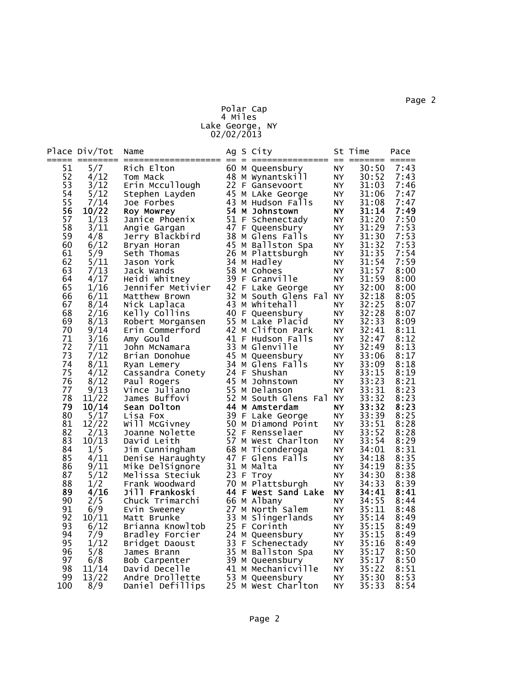## Polar Cap 4 Miles Lake George, NY 02/02/2013

|          | Place Div/Tot | Name                               |  | Ag S City                            |           | St Time        | Pace         |
|----------|---------------|------------------------------------|--|--------------------------------------|-----------|----------------|--------------|
| 51       | 5/7           | Rich Elton                         |  | 60 M Queensbury                      | <b>NY</b> | 30:50          | 7:43         |
| 52       | 4/12          | Tom Mack                           |  | 48 M Wynantskill                     | NY.       | 30:52          | 7:43         |
| 53       | 3/12          | Erin Mccullough                    |  | 22 F Gansevoort                      | NY        | 31:03          | 7:46         |
| 54       | 5/12          | Stephen Layden                     |  | 45 M LAke George                     | <b>NY</b> | 31:06          | 7:47         |
| 55       | 7/14          | Joe Forbes                         |  | 43 M Hudson Falls                    | NY.       | 31:08          | 7:47         |
| 56       | 10/22         | Roy Mowrey                         |  | 54 M Johnstown                       | NY.       | 31:14          | 7:49         |
| 57       | 1/13          | Janice Phoenix                     |  | 51 F Schenectady                     | NY.       | 31:20          | 7:50         |
| 58       | 3/11          | Angie Gargan                       |  | 47 F Queensbury                      | NY.       | 31:29          | 7:53         |
| 59       | 4/8           | Jerry Blackbird                    |  | 38 M Glens Falls                     | NY        | 31:30          | 7:53         |
| 60       | 6/12          | Bryan Horan                        |  | 45 M Ballston Spa                    | NY.       | 31:32          | 7:53         |
| 61       | 5/9           | Seth Thomas                        |  | 26 M Plattsburgh                     | NY.       | 31:35          | 7:54         |
| 62<br>63 | 5/11          | Jason York                         |  | 34 M Hadley<br>58 M Cohoes           | NY        | 31:54<br>31:57 | 7:59<br>8:00 |
| 64       | 7/13<br>4/17  | Jack Wands<br>Heidi Whitney        |  | 39 F Granville                       | NY.<br>NY | 31:59          | 8:00         |
| 65       | 1/16          | Jennifer Metivier                  |  | 42 F Lake George                     | NY        | 32:00          | 8:00         |
| 66       | 6/11          | Matthew Brown                      |  | 32 M South Glens Fal                 | NY        | 32:18          | 8:05         |
| 67       | 8/14          | Nick Laplaca                       |  | 43 M Whitehall                       | NY.       | 32:25          | 8:07         |
| 68       | 2/16          | Kelly Collins                      |  | 40 F Queensbury                      | <b>NY</b> | 32:28          | 8:07         |
| 69       | 8/13          | Robert Morgansen                   |  | 55 M Lake Placid                     | NY        | 32:33          | 8:09         |
| 70       | 9/14          | Erin Commerford                    |  | 42 M Clifton Park                    | NY        | 32:41          | 8:11         |
| 71       | 3/16          | Amy Gould                          |  | 41 F Hudson Falls                    | NY.       | 32:47          | 8:12         |
| 72       | 7/11          | John McNamara                      |  | 33 M Glenville                       | NY        | 32:49          | 8:13         |
| 73       | 7/12          | Brian Donohue                      |  | 45 M Queensbury                      | NY        | 33:06          | 8:17         |
| 74       | 8/11          | Ryan Lemery                        |  | 34 M Glens Falls                     | NY        | 33:09          | 8:18         |
| 75       | 4/12          | Cassandra Conety                   |  | 24 F Shushan                         | NY        | 33:15          | 8:19         |
| 76       | 8/12          | Paul Rogers                        |  | 45 M Johnstown                       | NY        | 33:23          | 8:21         |
| 77       | 9/13          | Vince Juliano                      |  | 55 M Delanson                        | NY.       | 33:31          | 8:23         |
| 78       | 11/22         | James Buffovi                      |  | 52 M South Glens Fal                 | NY        | 33:32          | 8:23         |
| 79       | 10/14         | Sean Dolton                        |  | 44 M Amsterdam                       | <b>NY</b> | 33:32          | 8:23         |
| 80       | 5/17          | Lisa Fox                           |  | 39 F Lake George                     | NY        | 33:39          | 8:25         |
| 81       | 12/22         | Will McGivney                      |  | 50 M Diamond Point                   | NY.       | 33:51          | 8:28         |
| 82       | 2/13          | Joanne Nolette                     |  | 52 F Rensselaer                      | NY        | 33:52          | 8:28         |
| 83       | 10/13         | David Leith                        |  | 57 M West Charlton                   | <b>NY</b> | 33:54          | 8:29         |
| 84       | 1/5           | Jim Cunningham                     |  | 68 M Ticonderoga<br>47 F Glens Falls | NY        | 34:01          | 8:31<br>8:35 |
| 85<br>86 | 4/11<br>9/11  | Denise Haraughty                   |  | 31 M Malta                           | NY        | 34:18<br>34:19 | 8:35         |
| 87       | 5/12          | Mike DelSignore<br>Melissa Steciuk |  | 23 F Troy                            | NY<br>NY  | 34:30          | 8:38         |
| 88       | 1/2           | Frank Woodward                     |  | 70 M Plattsburgh                     | NY        | 34:33          | 8:39         |
| 89       | 4/16          | Jill Frankoski                     |  | 44 F West Sand Lake                  | NY.       | 34:41          | 8:41         |
| 90       | 2/5           | Chuck Trimarchi                    |  | 66 M Albany                          | NY        | 34:55          | 8:44         |
| 91       | 6/9           | Evin Sweeney                       |  | 27 M North Salem                     | NY.       | 35:11          | 8:48         |
| 92       | 10/11         | Matt Brunke                        |  | 33 M Slingerlands                    | NY        | 35:14          | 8:49         |
| 93       | 6/12          | Brianna Knowltob                   |  | 25 F Corinth                         | NY        | 35:15          | 8:49         |
| 94       | 7/9           | Bradley Forcier                    |  | 24 M Queensbury                      | NY        | 35:15          | 8:49         |
| 95       | 1/12          | Bridget Daoust                     |  | 33 F Schenectady                     | NY.       | 35:16          | 8:49         |
| 96       | 5/8           | James Brann                        |  | 35 M Ballston Spa                    | NY        | 35:17          | 8:50         |
| 97       | 6/8           | Bob Carpenter                      |  | 39 M Queensbury                      | NY        | 35:17          | 8:50         |
| 98       | 11/14         | David Decelle                      |  | 41 M Mechanicville                   | <b>NY</b> | 35:22          | 8:51         |
| 99       | 13/22         | Andre Drollette                    |  | 53 M Queensbury                      | NY.       | 35:30          | 8:53         |
| 100      | 8/9           | Daniel Defillips                   |  | 25 M west Charlton                   | NY.       | 35:33          | 8:54         |

Page 2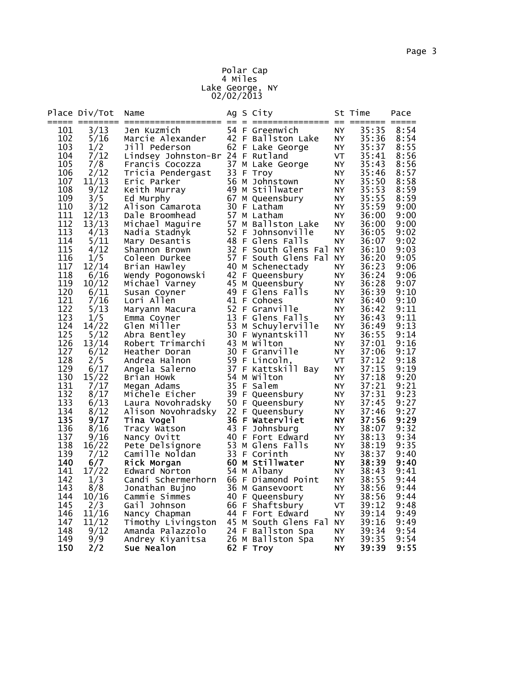### Polar Cap 4 Miles Lake George, NY 02/02/2013

| 54 F Greenwich<br>35:35<br>3/13<br><b>NY</b><br>8:54<br>101<br>Jen Kuzmich<br>5/16<br>42 F Ballston Lake<br><b>NY</b><br>35:36<br>102<br>Marcie Alexander<br>8:54<br>103<br>62 F Lake George<br>35:37<br>8:55<br>1/2<br>Jill Pederson<br>NY<br>104<br>7/12<br>Lindsey Johnston-Br 24 F Rutland<br><b>VT</b><br>35:41<br>8:56<br>105<br>37 M Lake George<br>7/8<br><b>NY</b><br>35:43<br>8:56<br>Francis Cocozza<br>33 F Troy<br>35:46<br>8:57<br>106<br>2/12<br><b>NY</b><br>Tricia Pendergast<br>35:50<br>107<br>11/13<br>56 M Johnstown<br><b>NY</b><br>8:58<br>Eric Parker<br>35:53<br>108<br>9/12<br>49 M Stillwater<br>8:59<br>NY<br>Keith Murray<br>67 M Queensbury<br>109<br>3/5<br>35:55<br>8:59<br>NY<br>Ed Murphy<br>110<br>30 F Latham<br>3/12<br>35:59<br>9:00<br>Alison Camarota<br>NY<br>57 M Latham<br>111<br>12/13<br><b>NY</b><br>36:00<br>9:00<br>Dale Broomhead<br>57 M Ballston Lake<br>112<br>13/13<br>Michael Maguire<br><b>NY</b><br>36:00<br>9:00<br>52 F Johnsonville<br>113<br>4/13<br>NY<br>36:05<br>9:02<br>Nadia Stadnyk<br>114<br>5/11<br>48 F Glens Falls<br><b>NY</b><br>36:07<br>9:02<br>Mary Desantis<br>32 F South Glens Fal<br>115<br>4/12<br>9:03<br>NY<br>36:10<br>Shannon Brown<br>57 F South Glens Fal<br>116<br>1/5<br><b>NY</b><br>36:20<br>9:05<br>Coleen Durkee<br>40 M Schenectady<br>117<br>12/14<br>36:23<br>9:06<br>Brian Hawley<br>NY.<br>118<br>42 F Queensbury<br>36:24<br>6/16<br><b>NY</b><br>9:06<br>Wendy Pogonowski<br>119<br>45 M Queensbury<br>10/12<br><b>NY</b><br>36:28<br>9:07<br>Michael Varney<br>120<br>49 F Glens Falls<br>36:39<br>9:10<br>6/11<br>NY<br>Susan Coyner<br>121<br>41 F Cohoes<br>36:40<br>9:10<br>7/16<br>Lori Allen<br>NY<br>122<br>52 F Granville<br>5/13<br><b>NY</b><br>36:42<br>9:11<br>Maryann Macura<br>123<br>13 F Glens Falls<br>9:11<br>1/5<br><b>NY</b><br>36:43<br>Emma Coyner<br>53 M Schuylerville<br>124<br>14/22<br>36:49<br>9:13<br>Glen Miller<br><b>NY</b><br>125<br>30 F Wynantskill<br>36:55<br>9:14<br>5/12<br>Abra Bentley<br>NY<br>43 M wilton<br>126<br>37:01<br>13/14<br>NY.<br>9:16<br>Robert Trimarchi<br>127<br>30 F Granville<br>6/12<br><b>NY</b><br>9:17<br>37:06<br>Heather Doran<br>128<br>2/5<br>59 F Lincoln,<br>VT<br>37:12<br>Andrea Halnon<br>9:18<br>129<br>37 F Kattskill Bay<br>6/17<br><b>NY</b><br>37:15<br>9:19<br>Angela Salerno<br>130<br>54 M Wilton<br>15/22<br><b>NY</b><br>37:18<br>Brian Howk<br>35 F Salem<br>131<br>37:21<br>9:21<br>7/17<br>NY.<br>Megan Adams<br>132<br>8/17<br>39 F Queensbury<br>9:23<br><b>NY</b><br>37:31<br>Michele Eicher<br>133<br>50 F Queensbury<br>6/13<br>37:45<br>9:27<br>Laura Novohradsky<br>NY<br>22 F Queensbury<br>134<br>8/12<br>37:46<br>9:27<br>Alison Novohradsky<br>NY<br>135<br>36 F Watervliet<br>37:56<br>9:29<br>9/17<br>Tina Vogel<br>NY.<br>136<br>43 F Johnsburg<br>8/16<br><b>NY</b><br>38:07<br>9:32<br>Tracy Watson<br>137<br>9/16<br>40 F Fort Edward<br>38:13<br>9:34<br>Nancy Ovitt<br>NY<br>53 M Glens Falls<br>138<br>9:35<br>16/22<br>Pete Delsignore<br>NY<br>38:19<br>139<br>33 F Corinth<br>38:37<br>7/12<br><b>NY</b><br>9:40<br>Camille Noldan<br>60 M Stillwater<br>140<br>6/7<br>38:39<br>9:40<br><b>NY</b><br>Rick Morgan<br>141<br>17/22<br>54 M Albany<br><b>NY</b><br>38:43<br>9:41<br>Edward Norton<br>142<br>66 F Diamond Point<br>38:55<br>1/3<br>Candi Schermerhorn<br>NY<br>9:44<br>143<br>8/8<br>36 M Gansevoort<br>38:56<br>NY<br>9:44<br>Jonathan Bujno<br>144<br>10/16<br>40 F Queensbury<br>38:56<br>Cammie Simmes<br><b>NY</b><br>9:44<br>145<br>66 F Shaftsbury<br>2/3<br>Gail Johnson<br>VT<br>39:12<br>9:48<br>146<br>44 F Fort Edward<br>11/16<br><b>NY</b><br>39:14<br>9:49<br>Nancy Chapman<br>147<br>45 M South Glens Fal NY<br>39:16<br>9:49<br>11/12<br>Timothy Livingston<br>148<br>9/12<br>24 F Ballston Spa<br>39:34<br>9:54<br>Amanda Palazzolo<br>NY<br>26 M Ballston Spa<br>39:35<br>149<br>9/9<br>9:54<br>Andrey Kiyanitsa<br>NY. |     | Place Div/Tot | Name       |  | Ag S City |           | St Time | Pace |
|------------------------------------------------------------------------------------------------------------------------------------------------------------------------------------------------------------------------------------------------------------------------------------------------------------------------------------------------------------------------------------------------------------------------------------------------------------------------------------------------------------------------------------------------------------------------------------------------------------------------------------------------------------------------------------------------------------------------------------------------------------------------------------------------------------------------------------------------------------------------------------------------------------------------------------------------------------------------------------------------------------------------------------------------------------------------------------------------------------------------------------------------------------------------------------------------------------------------------------------------------------------------------------------------------------------------------------------------------------------------------------------------------------------------------------------------------------------------------------------------------------------------------------------------------------------------------------------------------------------------------------------------------------------------------------------------------------------------------------------------------------------------------------------------------------------------------------------------------------------------------------------------------------------------------------------------------------------------------------------------------------------------------------------------------------------------------------------------------------------------------------------------------------------------------------------------------------------------------------------------------------------------------------------------------------------------------------------------------------------------------------------------------------------------------------------------------------------------------------------------------------------------------------------------------------------------------------------------------------------------------------------------------------------------------------------------------------------------------------------------------------------------------------------------------------------------------------------------------------------------------------------------------------------------------------------------------------------------------------------------------------------------------------------------------------------------------------------------------------------------------------------------------------------------------------------------------------------------------------------------------------------------------------------------------------------------------------------------------------------------------------------------------------------------------------------------------------------------------------------------------------------------------------------------------------------------------------------------------------------------------------------------------------------------------------------------------------------------------------------------------------------------------------------------------------------------------------------------------------------------------------------------------------------------------------------------------------------------|-----|---------------|------------|--|-----------|-----------|---------|------|
|                                                                                                                                                                                                                                                                                                                                                                                                                                                                                                                                                                                                                                                                                                                                                                                                                                                                                                                                                                                                                                                                                                                                                                                                                                                                                                                                                                                                                                                                                                                                                                                                                                                                                                                                                                                                                                                                                                                                                                                                                                                                                                                                                                                                                                                                                                                                                                                                                                                                                                                                                                                                                                                                                                                                                                                                                                                                                                                                                                                                                                                                                                                                                                                                                                                                                                                                                                                                                                                                                                                                                                                                                                                                                                                                                                                                                                                                                                                                                                        |     |               |            |  |           |           |         |      |
| 9:20                                                                                                                                                                                                                                                                                                                                                                                                                                                                                                                                                                                                                                                                                                                                                                                                                                                                                                                                                                                                                                                                                                                                                                                                                                                                                                                                                                                                                                                                                                                                                                                                                                                                                                                                                                                                                                                                                                                                                                                                                                                                                                                                                                                                                                                                                                                                                                                                                                                                                                                                                                                                                                                                                                                                                                                                                                                                                                                                                                                                                                                                                                                                                                                                                                                                                                                                                                                                                                                                                                                                                                                                                                                                                                                                                                                                                                                                                                                                                                   |     |               |            |  |           |           |         |      |
|                                                                                                                                                                                                                                                                                                                                                                                                                                                                                                                                                                                                                                                                                                                                                                                                                                                                                                                                                                                                                                                                                                                                                                                                                                                                                                                                                                                                                                                                                                                                                                                                                                                                                                                                                                                                                                                                                                                                                                                                                                                                                                                                                                                                                                                                                                                                                                                                                                                                                                                                                                                                                                                                                                                                                                                                                                                                                                                                                                                                                                                                                                                                                                                                                                                                                                                                                                                                                                                                                                                                                                                                                                                                                                                                                                                                                                                                                                                                                                        |     |               |            |  |           |           |         |      |
|                                                                                                                                                                                                                                                                                                                                                                                                                                                                                                                                                                                                                                                                                                                                                                                                                                                                                                                                                                                                                                                                                                                                                                                                                                                                                                                                                                                                                                                                                                                                                                                                                                                                                                                                                                                                                                                                                                                                                                                                                                                                                                                                                                                                                                                                                                                                                                                                                                                                                                                                                                                                                                                                                                                                                                                                                                                                                                                                                                                                                                                                                                                                                                                                                                                                                                                                                                                                                                                                                                                                                                                                                                                                                                                                                                                                                                                                                                                                                                        |     |               |            |  |           |           |         |      |
|                                                                                                                                                                                                                                                                                                                                                                                                                                                                                                                                                                                                                                                                                                                                                                                                                                                                                                                                                                                                                                                                                                                                                                                                                                                                                                                                                                                                                                                                                                                                                                                                                                                                                                                                                                                                                                                                                                                                                                                                                                                                                                                                                                                                                                                                                                                                                                                                                                                                                                                                                                                                                                                                                                                                                                                                                                                                                                                                                                                                                                                                                                                                                                                                                                                                                                                                                                                                                                                                                                                                                                                                                                                                                                                                                                                                                                                                                                                                                                        |     |               |            |  |           |           |         |      |
|                                                                                                                                                                                                                                                                                                                                                                                                                                                                                                                                                                                                                                                                                                                                                                                                                                                                                                                                                                                                                                                                                                                                                                                                                                                                                                                                                                                                                                                                                                                                                                                                                                                                                                                                                                                                                                                                                                                                                                                                                                                                                                                                                                                                                                                                                                                                                                                                                                                                                                                                                                                                                                                                                                                                                                                                                                                                                                                                                                                                                                                                                                                                                                                                                                                                                                                                                                                                                                                                                                                                                                                                                                                                                                                                                                                                                                                                                                                                                                        |     |               |            |  |           |           |         |      |
|                                                                                                                                                                                                                                                                                                                                                                                                                                                                                                                                                                                                                                                                                                                                                                                                                                                                                                                                                                                                                                                                                                                                                                                                                                                                                                                                                                                                                                                                                                                                                                                                                                                                                                                                                                                                                                                                                                                                                                                                                                                                                                                                                                                                                                                                                                                                                                                                                                                                                                                                                                                                                                                                                                                                                                                                                                                                                                                                                                                                                                                                                                                                                                                                                                                                                                                                                                                                                                                                                                                                                                                                                                                                                                                                                                                                                                                                                                                                                                        |     |               |            |  |           |           |         |      |
|                                                                                                                                                                                                                                                                                                                                                                                                                                                                                                                                                                                                                                                                                                                                                                                                                                                                                                                                                                                                                                                                                                                                                                                                                                                                                                                                                                                                                                                                                                                                                                                                                                                                                                                                                                                                                                                                                                                                                                                                                                                                                                                                                                                                                                                                                                                                                                                                                                                                                                                                                                                                                                                                                                                                                                                                                                                                                                                                                                                                                                                                                                                                                                                                                                                                                                                                                                                                                                                                                                                                                                                                                                                                                                                                                                                                                                                                                                                                                                        |     |               |            |  |           |           |         |      |
|                                                                                                                                                                                                                                                                                                                                                                                                                                                                                                                                                                                                                                                                                                                                                                                                                                                                                                                                                                                                                                                                                                                                                                                                                                                                                                                                                                                                                                                                                                                                                                                                                                                                                                                                                                                                                                                                                                                                                                                                                                                                                                                                                                                                                                                                                                                                                                                                                                                                                                                                                                                                                                                                                                                                                                                                                                                                                                                                                                                                                                                                                                                                                                                                                                                                                                                                                                                                                                                                                                                                                                                                                                                                                                                                                                                                                                                                                                                                                                        |     |               |            |  |           |           |         |      |
|                                                                                                                                                                                                                                                                                                                                                                                                                                                                                                                                                                                                                                                                                                                                                                                                                                                                                                                                                                                                                                                                                                                                                                                                                                                                                                                                                                                                                                                                                                                                                                                                                                                                                                                                                                                                                                                                                                                                                                                                                                                                                                                                                                                                                                                                                                                                                                                                                                                                                                                                                                                                                                                                                                                                                                                                                                                                                                                                                                                                                                                                                                                                                                                                                                                                                                                                                                                                                                                                                                                                                                                                                                                                                                                                                                                                                                                                                                                                                                        |     |               |            |  |           |           |         |      |
|                                                                                                                                                                                                                                                                                                                                                                                                                                                                                                                                                                                                                                                                                                                                                                                                                                                                                                                                                                                                                                                                                                                                                                                                                                                                                                                                                                                                                                                                                                                                                                                                                                                                                                                                                                                                                                                                                                                                                                                                                                                                                                                                                                                                                                                                                                                                                                                                                                                                                                                                                                                                                                                                                                                                                                                                                                                                                                                                                                                                                                                                                                                                                                                                                                                                                                                                                                                                                                                                                                                                                                                                                                                                                                                                                                                                                                                                                                                                                                        |     |               |            |  |           |           |         |      |
|                                                                                                                                                                                                                                                                                                                                                                                                                                                                                                                                                                                                                                                                                                                                                                                                                                                                                                                                                                                                                                                                                                                                                                                                                                                                                                                                                                                                                                                                                                                                                                                                                                                                                                                                                                                                                                                                                                                                                                                                                                                                                                                                                                                                                                                                                                                                                                                                                                                                                                                                                                                                                                                                                                                                                                                                                                                                                                                                                                                                                                                                                                                                                                                                                                                                                                                                                                                                                                                                                                                                                                                                                                                                                                                                                                                                                                                                                                                                                                        |     |               |            |  |           |           |         |      |
|                                                                                                                                                                                                                                                                                                                                                                                                                                                                                                                                                                                                                                                                                                                                                                                                                                                                                                                                                                                                                                                                                                                                                                                                                                                                                                                                                                                                                                                                                                                                                                                                                                                                                                                                                                                                                                                                                                                                                                                                                                                                                                                                                                                                                                                                                                                                                                                                                                                                                                                                                                                                                                                                                                                                                                                                                                                                                                                                                                                                                                                                                                                                                                                                                                                                                                                                                                                                                                                                                                                                                                                                                                                                                                                                                                                                                                                                                                                                                                        |     |               |            |  |           |           |         |      |
|                                                                                                                                                                                                                                                                                                                                                                                                                                                                                                                                                                                                                                                                                                                                                                                                                                                                                                                                                                                                                                                                                                                                                                                                                                                                                                                                                                                                                                                                                                                                                                                                                                                                                                                                                                                                                                                                                                                                                                                                                                                                                                                                                                                                                                                                                                                                                                                                                                                                                                                                                                                                                                                                                                                                                                                                                                                                                                                                                                                                                                                                                                                                                                                                                                                                                                                                                                                                                                                                                                                                                                                                                                                                                                                                                                                                                                                                                                                                                                        |     |               |            |  |           |           |         |      |
|                                                                                                                                                                                                                                                                                                                                                                                                                                                                                                                                                                                                                                                                                                                                                                                                                                                                                                                                                                                                                                                                                                                                                                                                                                                                                                                                                                                                                                                                                                                                                                                                                                                                                                                                                                                                                                                                                                                                                                                                                                                                                                                                                                                                                                                                                                                                                                                                                                                                                                                                                                                                                                                                                                                                                                                                                                                                                                                                                                                                                                                                                                                                                                                                                                                                                                                                                                                                                                                                                                                                                                                                                                                                                                                                                                                                                                                                                                                                                                        |     |               |            |  |           |           |         |      |
|                                                                                                                                                                                                                                                                                                                                                                                                                                                                                                                                                                                                                                                                                                                                                                                                                                                                                                                                                                                                                                                                                                                                                                                                                                                                                                                                                                                                                                                                                                                                                                                                                                                                                                                                                                                                                                                                                                                                                                                                                                                                                                                                                                                                                                                                                                                                                                                                                                                                                                                                                                                                                                                                                                                                                                                                                                                                                                                                                                                                                                                                                                                                                                                                                                                                                                                                                                                                                                                                                                                                                                                                                                                                                                                                                                                                                                                                                                                                                                        |     |               |            |  |           |           |         |      |
|                                                                                                                                                                                                                                                                                                                                                                                                                                                                                                                                                                                                                                                                                                                                                                                                                                                                                                                                                                                                                                                                                                                                                                                                                                                                                                                                                                                                                                                                                                                                                                                                                                                                                                                                                                                                                                                                                                                                                                                                                                                                                                                                                                                                                                                                                                                                                                                                                                                                                                                                                                                                                                                                                                                                                                                                                                                                                                                                                                                                                                                                                                                                                                                                                                                                                                                                                                                                                                                                                                                                                                                                                                                                                                                                                                                                                                                                                                                                                                        |     |               |            |  |           |           |         |      |
|                                                                                                                                                                                                                                                                                                                                                                                                                                                                                                                                                                                                                                                                                                                                                                                                                                                                                                                                                                                                                                                                                                                                                                                                                                                                                                                                                                                                                                                                                                                                                                                                                                                                                                                                                                                                                                                                                                                                                                                                                                                                                                                                                                                                                                                                                                                                                                                                                                                                                                                                                                                                                                                                                                                                                                                                                                                                                                                                                                                                                                                                                                                                                                                                                                                                                                                                                                                                                                                                                                                                                                                                                                                                                                                                                                                                                                                                                                                                                                        |     |               |            |  |           |           |         |      |
|                                                                                                                                                                                                                                                                                                                                                                                                                                                                                                                                                                                                                                                                                                                                                                                                                                                                                                                                                                                                                                                                                                                                                                                                                                                                                                                                                                                                                                                                                                                                                                                                                                                                                                                                                                                                                                                                                                                                                                                                                                                                                                                                                                                                                                                                                                                                                                                                                                                                                                                                                                                                                                                                                                                                                                                                                                                                                                                                                                                                                                                                                                                                                                                                                                                                                                                                                                                                                                                                                                                                                                                                                                                                                                                                                                                                                                                                                                                                                                        |     |               |            |  |           |           |         |      |
|                                                                                                                                                                                                                                                                                                                                                                                                                                                                                                                                                                                                                                                                                                                                                                                                                                                                                                                                                                                                                                                                                                                                                                                                                                                                                                                                                                                                                                                                                                                                                                                                                                                                                                                                                                                                                                                                                                                                                                                                                                                                                                                                                                                                                                                                                                                                                                                                                                                                                                                                                                                                                                                                                                                                                                                                                                                                                                                                                                                                                                                                                                                                                                                                                                                                                                                                                                                                                                                                                                                                                                                                                                                                                                                                                                                                                                                                                                                                                                        |     |               |            |  |           |           |         |      |
|                                                                                                                                                                                                                                                                                                                                                                                                                                                                                                                                                                                                                                                                                                                                                                                                                                                                                                                                                                                                                                                                                                                                                                                                                                                                                                                                                                                                                                                                                                                                                                                                                                                                                                                                                                                                                                                                                                                                                                                                                                                                                                                                                                                                                                                                                                                                                                                                                                                                                                                                                                                                                                                                                                                                                                                                                                                                                                                                                                                                                                                                                                                                                                                                                                                                                                                                                                                                                                                                                                                                                                                                                                                                                                                                                                                                                                                                                                                                                                        |     |               |            |  |           |           |         |      |
|                                                                                                                                                                                                                                                                                                                                                                                                                                                                                                                                                                                                                                                                                                                                                                                                                                                                                                                                                                                                                                                                                                                                                                                                                                                                                                                                                                                                                                                                                                                                                                                                                                                                                                                                                                                                                                                                                                                                                                                                                                                                                                                                                                                                                                                                                                                                                                                                                                                                                                                                                                                                                                                                                                                                                                                                                                                                                                                                                                                                                                                                                                                                                                                                                                                                                                                                                                                                                                                                                                                                                                                                                                                                                                                                                                                                                                                                                                                                                                        |     |               |            |  |           |           |         |      |
|                                                                                                                                                                                                                                                                                                                                                                                                                                                                                                                                                                                                                                                                                                                                                                                                                                                                                                                                                                                                                                                                                                                                                                                                                                                                                                                                                                                                                                                                                                                                                                                                                                                                                                                                                                                                                                                                                                                                                                                                                                                                                                                                                                                                                                                                                                                                                                                                                                                                                                                                                                                                                                                                                                                                                                                                                                                                                                                                                                                                                                                                                                                                                                                                                                                                                                                                                                                                                                                                                                                                                                                                                                                                                                                                                                                                                                                                                                                                                                        |     |               |            |  |           |           |         |      |
|                                                                                                                                                                                                                                                                                                                                                                                                                                                                                                                                                                                                                                                                                                                                                                                                                                                                                                                                                                                                                                                                                                                                                                                                                                                                                                                                                                                                                                                                                                                                                                                                                                                                                                                                                                                                                                                                                                                                                                                                                                                                                                                                                                                                                                                                                                                                                                                                                                                                                                                                                                                                                                                                                                                                                                                                                                                                                                                                                                                                                                                                                                                                                                                                                                                                                                                                                                                                                                                                                                                                                                                                                                                                                                                                                                                                                                                                                                                                                                        |     |               |            |  |           |           |         |      |
|                                                                                                                                                                                                                                                                                                                                                                                                                                                                                                                                                                                                                                                                                                                                                                                                                                                                                                                                                                                                                                                                                                                                                                                                                                                                                                                                                                                                                                                                                                                                                                                                                                                                                                                                                                                                                                                                                                                                                                                                                                                                                                                                                                                                                                                                                                                                                                                                                                                                                                                                                                                                                                                                                                                                                                                                                                                                                                                                                                                                                                                                                                                                                                                                                                                                                                                                                                                                                                                                                                                                                                                                                                                                                                                                                                                                                                                                                                                                                                        |     |               |            |  |           |           |         |      |
|                                                                                                                                                                                                                                                                                                                                                                                                                                                                                                                                                                                                                                                                                                                                                                                                                                                                                                                                                                                                                                                                                                                                                                                                                                                                                                                                                                                                                                                                                                                                                                                                                                                                                                                                                                                                                                                                                                                                                                                                                                                                                                                                                                                                                                                                                                                                                                                                                                                                                                                                                                                                                                                                                                                                                                                                                                                                                                                                                                                                                                                                                                                                                                                                                                                                                                                                                                                                                                                                                                                                                                                                                                                                                                                                                                                                                                                                                                                                                                        |     |               |            |  |           |           |         |      |
|                                                                                                                                                                                                                                                                                                                                                                                                                                                                                                                                                                                                                                                                                                                                                                                                                                                                                                                                                                                                                                                                                                                                                                                                                                                                                                                                                                                                                                                                                                                                                                                                                                                                                                                                                                                                                                                                                                                                                                                                                                                                                                                                                                                                                                                                                                                                                                                                                                                                                                                                                                                                                                                                                                                                                                                                                                                                                                                                                                                                                                                                                                                                                                                                                                                                                                                                                                                                                                                                                                                                                                                                                                                                                                                                                                                                                                                                                                                                                                        |     |               |            |  |           |           |         |      |
|                                                                                                                                                                                                                                                                                                                                                                                                                                                                                                                                                                                                                                                                                                                                                                                                                                                                                                                                                                                                                                                                                                                                                                                                                                                                                                                                                                                                                                                                                                                                                                                                                                                                                                                                                                                                                                                                                                                                                                                                                                                                                                                                                                                                                                                                                                                                                                                                                                                                                                                                                                                                                                                                                                                                                                                                                                                                                                                                                                                                                                                                                                                                                                                                                                                                                                                                                                                                                                                                                                                                                                                                                                                                                                                                                                                                                                                                                                                                                                        |     |               |            |  |           |           |         |      |
|                                                                                                                                                                                                                                                                                                                                                                                                                                                                                                                                                                                                                                                                                                                                                                                                                                                                                                                                                                                                                                                                                                                                                                                                                                                                                                                                                                                                                                                                                                                                                                                                                                                                                                                                                                                                                                                                                                                                                                                                                                                                                                                                                                                                                                                                                                                                                                                                                                                                                                                                                                                                                                                                                                                                                                                                                                                                                                                                                                                                                                                                                                                                                                                                                                                                                                                                                                                                                                                                                                                                                                                                                                                                                                                                                                                                                                                                                                                                                                        |     |               |            |  |           |           |         |      |
|                                                                                                                                                                                                                                                                                                                                                                                                                                                                                                                                                                                                                                                                                                                                                                                                                                                                                                                                                                                                                                                                                                                                                                                                                                                                                                                                                                                                                                                                                                                                                                                                                                                                                                                                                                                                                                                                                                                                                                                                                                                                                                                                                                                                                                                                                                                                                                                                                                                                                                                                                                                                                                                                                                                                                                                                                                                                                                                                                                                                                                                                                                                                                                                                                                                                                                                                                                                                                                                                                                                                                                                                                                                                                                                                                                                                                                                                                                                                                                        |     |               |            |  |           |           |         |      |
|                                                                                                                                                                                                                                                                                                                                                                                                                                                                                                                                                                                                                                                                                                                                                                                                                                                                                                                                                                                                                                                                                                                                                                                                                                                                                                                                                                                                                                                                                                                                                                                                                                                                                                                                                                                                                                                                                                                                                                                                                                                                                                                                                                                                                                                                                                                                                                                                                                                                                                                                                                                                                                                                                                                                                                                                                                                                                                                                                                                                                                                                                                                                                                                                                                                                                                                                                                                                                                                                                                                                                                                                                                                                                                                                                                                                                                                                                                                                                                        |     |               |            |  |           |           |         |      |
|                                                                                                                                                                                                                                                                                                                                                                                                                                                                                                                                                                                                                                                                                                                                                                                                                                                                                                                                                                                                                                                                                                                                                                                                                                                                                                                                                                                                                                                                                                                                                                                                                                                                                                                                                                                                                                                                                                                                                                                                                                                                                                                                                                                                                                                                                                                                                                                                                                                                                                                                                                                                                                                                                                                                                                                                                                                                                                                                                                                                                                                                                                                                                                                                                                                                                                                                                                                                                                                                                                                                                                                                                                                                                                                                                                                                                                                                                                                                                                        |     |               |            |  |           |           |         |      |
|                                                                                                                                                                                                                                                                                                                                                                                                                                                                                                                                                                                                                                                                                                                                                                                                                                                                                                                                                                                                                                                                                                                                                                                                                                                                                                                                                                                                                                                                                                                                                                                                                                                                                                                                                                                                                                                                                                                                                                                                                                                                                                                                                                                                                                                                                                                                                                                                                                                                                                                                                                                                                                                                                                                                                                                                                                                                                                                                                                                                                                                                                                                                                                                                                                                                                                                                                                                                                                                                                                                                                                                                                                                                                                                                                                                                                                                                                                                                                                        |     |               |            |  |           |           |         |      |
|                                                                                                                                                                                                                                                                                                                                                                                                                                                                                                                                                                                                                                                                                                                                                                                                                                                                                                                                                                                                                                                                                                                                                                                                                                                                                                                                                                                                                                                                                                                                                                                                                                                                                                                                                                                                                                                                                                                                                                                                                                                                                                                                                                                                                                                                                                                                                                                                                                                                                                                                                                                                                                                                                                                                                                                                                                                                                                                                                                                                                                                                                                                                                                                                                                                                                                                                                                                                                                                                                                                                                                                                                                                                                                                                                                                                                                                                                                                                                                        |     |               |            |  |           |           |         |      |
|                                                                                                                                                                                                                                                                                                                                                                                                                                                                                                                                                                                                                                                                                                                                                                                                                                                                                                                                                                                                                                                                                                                                                                                                                                                                                                                                                                                                                                                                                                                                                                                                                                                                                                                                                                                                                                                                                                                                                                                                                                                                                                                                                                                                                                                                                                                                                                                                                                                                                                                                                                                                                                                                                                                                                                                                                                                                                                                                                                                                                                                                                                                                                                                                                                                                                                                                                                                                                                                                                                                                                                                                                                                                                                                                                                                                                                                                                                                                                                        |     |               |            |  |           |           |         |      |
|                                                                                                                                                                                                                                                                                                                                                                                                                                                                                                                                                                                                                                                                                                                                                                                                                                                                                                                                                                                                                                                                                                                                                                                                                                                                                                                                                                                                                                                                                                                                                                                                                                                                                                                                                                                                                                                                                                                                                                                                                                                                                                                                                                                                                                                                                                                                                                                                                                                                                                                                                                                                                                                                                                                                                                                                                                                                                                                                                                                                                                                                                                                                                                                                                                                                                                                                                                                                                                                                                                                                                                                                                                                                                                                                                                                                                                                                                                                                                                        |     |               |            |  |           |           |         |      |
|                                                                                                                                                                                                                                                                                                                                                                                                                                                                                                                                                                                                                                                                                                                                                                                                                                                                                                                                                                                                                                                                                                                                                                                                                                                                                                                                                                                                                                                                                                                                                                                                                                                                                                                                                                                                                                                                                                                                                                                                                                                                                                                                                                                                                                                                                                                                                                                                                                                                                                                                                                                                                                                                                                                                                                                                                                                                                                                                                                                                                                                                                                                                                                                                                                                                                                                                                                                                                                                                                                                                                                                                                                                                                                                                                                                                                                                                                                                                                                        |     |               |            |  |           |           |         |      |
|                                                                                                                                                                                                                                                                                                                                                                                                                                                                                                                                                                                                                                                                                                                                                                                                                                                                                                                                                                                                                                                                                                                                                                                                                                                                                                                                                                                                                                                                                                                                                                                                                                                                                                                                                                                                                                                                                                                                                                                                                                                                                                                                                                                                                                                                                                                                                                                                                                                                                                                                                                                                                                                                                                                                                                                                                                                                                                                                                                                                                                                                                                                                                                                                                                                                                                                                                                                                                                                                                                                                                                                                                                                                                                                                                                                                                                                                                                                                                                        |     |               |            |  |           |           |         |      |
|                                                                                                                                                                                                                                                                                                                                                                                                                                                                                                                                                                                                                                                                                                                                                                                                                                                                                                                                                                                                                                                                                                                                                                                                                                                                                                                                                                                                                                                                                                                                                                                                                                                                                                                                                                                                                                                                                                                                                                                                                                                                                                                                                                                                                                                                                                                                                                                                                                                                                                                                                                                                                                                                                                                                                                                                                                                                                                                                                                                                                                                                                                                                                                                                                                                                                                                                                                                                                                                                                                                                                                                                                                                                                                                                                                                                                                                                                                                                                                        |     |               |            |  |           |           |         |      |
|                                                                                                                                                                                                                                                                                                                                                                                                                                                                                                                                                                                                                                                                                                                                                                                                                                                                                                                                                                                                                                                                                                                                                                                                                                                                                                                                                                                                                                                                                                                                                                                                                                                                                                                                                                                                                                                                                                                                                                                                                                                                                                                                                                                                                                                                                                                                                                                                                                                                                                                                                                                                                                                                                                                                                                                                                                                                                                                                                                                                                                                                                                                                                                                                                                                                                                                                                                                                                                                                                                                                                                                                                                                                                                                                                                                                                                                                                                                                                                        |     |               |            |  |           |           |         |      |
|                                                                                                                                                                                                                                                                                                                                                                                                                                                                                                                                                                                                                                                                                                                                                                                                                                                                                                                                                                                                                                                                                                                                                                                                                                                                                                                                                                                                                                                                                                                                                                                                                                                                                                                                                                                                                                                                                                                                                                                                                                                                                                                                                                                                                                                                                                                                                                                                                                                                                                                                                                                                                                                                                                                                                                                                                                                                                                                                                                                                                                                                                                                                                                                                                                                                                                                                                                                                                                                                                                                                                                                                                                                                                                                                                                                                                                                                                                                                                                        |     |               |            |  |           |           |         |      |
|                                                                                                                                                                                                                                                                                                                                                                                                                                                                                                                                                                                                                                                                                                                                                                                                                                                                                                                                                                                                                                                                                                                                                                                                                                                                                                                                                                                                                                                                                                                                                                                                                                                                                                                                                                                                                                                                                                                                                                                                                                                                                                                                                                                                                                                                                                                                                                                                                                                                                                                                                                                                                                                                                                                                                                                                                                                                                                                                                                                                                                                                                                                                                                                                                                                                                                                                                                                                                                                                                                                                                                                                                                                                                                                                                                                                                                                                                                                                                                        |     |               |            |  |           |           |         |      |
|                                                                                                                                                                                                                                                                                                                                                                                                                                                                                                                                                                                                                                                                                                                                                                                                                                                                                                                                                                                                                                                                                                                                                                                                                                                                                                                                                                                                                                                                                                                                                                                                                                                                                                                                                                                                                                                                                                                                                                                                                                                                                                                                                                                                                                                                                                                                                                                                                                                                                                                                                                                                                                                                                                                                                                                                                                                                                                                                                                                                                                                                                                                                                                                                                                                                                                                                                                                                                                                                                                                                                                                                                                                                                                                                                                                                                                                                                                                                                                        |     |               |            |  |           |           |         |      |
|                                                                                                                                                                                                                                                                                                                                                                                                                                                                                                                                                                                                                                                                                                                                                                                                                                                                                                                                                                                                                                                                                                                                                                                                                                                                                                                                                                                                                                                                                                                                                                                                                                                                                                                                                                                                                                                                                                                                                                                                                                                                                                                                                                                                                                                                                                                                                                                                                                                                                                                                                                                                                                                                                                                                                                                                                                                                                                                                                                                                                                                                                                                                                                                                                                                                                                                                                                                                                                                                                                                                                                                                                                                                                                                                                                                                                                                                                                                                                                        |     |               |            |  |           |           |         |      |
|                                                                                                                                                                                                                                                                                                                                                                                                                                                                                                                                                                                                                                                                                                                                                                                                                                                                                                                                                                                                                                                                                                                                                                                                                                                                                                                                                                                                                                                                                                                                                                                                                                                                                                                                                                                                                                                                                                                                                                                                                                                                                                                                                                                                                                                                                                                                                                                                                                                                                                                                                                                                                                                                                                                                                                                                                                                                                                                                                                                                                                                                                                                                                                                                                                                                                                                                                                                                                                                                                                                                                                                                                                                                                                                                                                                                                                                                                                                                                                        |     |               |            |  |           |           |         |      |
|                                                                                                                                                                                                                                                                                                                                                                                                                                                                                                                                                                                                                                                                                                                                                                                                                                                                                                                                                                                                                                                                                                                                                                                                                                                                                                                                                                                                                                                                                                                                                                                                                                                                                                                                                                                                                                                                                                                                                                                                                                                                                                                                                                                                                                                                                                                                                                                                                                                                                                                                                                                                                                                                                                                                                                                                                                                                                                                                                                                                                                                                                                                                                                                                                                                                                                                                                                                                                                                                                                                                                                                                                                                                                                                                                                                                                                                                                                                                                                        |     |               |            |  |           |           |         |      |
|                                                                                                                                                                                                                                                                                                                                                                                                                                                                                                                                                                                                                                                                                                                                                                                                                                                                                                                                                                                                                                                                                                                                                                                                                                                                                                                                                                                                                                                                                                                                                                                                                                                                                                                                                                                                                                                                                                                                                                                                                                                                                                                                                                                                                                                                                                                                                                                                                                                                                                                                                                                                                                                                                                                                                                                                                                                                                                                                                                                                                                                                                                                                                                                                                                                                                                                                                                                                                                                                                                                                                                                                                                                                                                                                                                                                                                                                                                                                                                        |     |               |            |  |           |           |         |      |
|                                                                                                                                                                                                                                                                                                                                                                                                                                                                                                                                                                                                                                                                                                                                                                                                                                                                                                                                                                                                                                                                                                                                                                                                                                                                                                                                                                                                                                                                                                                                                                                                                                                                                                                                                                                                                                                                                                                                                                                                                                                                                                                                                                                                                                                                                                                                                                                                                                                                                                                                                                                                                                                                                                                                                                                                                                                                                                                                                                                                                                                                                                                                                                                                                                                                                                                                                                                                                                                                                                                                                                                                                                                                                                                                                                                                                                                                                                                                                                        |     |               |            |  |           |           |         |      |
|                                                                                                                                                                                                                                                                                                                                                                                                                                                                                                                                                                                                                                                                                                                                                                                                                                                                                                                                                                                                                                                                                                                                                                                                                                                                                                                                                                                                                                                                                                                                                                                                                                                                                                                                                                                                                                                                                                                                                                                                                                                                                                                                                                                                                                                                                                                                                                                                                                                                                                                                                                                                                                                                                                                                                                                                                                                                                                                                                                                                                                                                                                                                                                                                                                                                                                                                                                                                                                                                                                                                                                                                                                                                                                                                                                                                                                                                                                                                                                        |     |               |            |  |           |           |         |      |
| 62 F Troy                                                                                                                                                                                                                                                                                                                                                                                                                                                                                                                                                                                                                                                                                                                                                                                                                                                                                                                                                                                                                                                                                                                                                                                                                                                                                                                                                                                                                                                                                                                                                                                                                                                                                                                                                                                                                                                                                                                                                                                                                                                                                                                                                                                                                                                                                                                                                                                                                                                                                                                                                                                                                                                                                                                                                                                                                                                                                                                                                                                                                                                                                                                                                                                                                                                                                                                                                                                                                                                                                                                                                                                                                                                                                                                                                                                                                                                                                                                                                              | 150 | 2/2           | Sue Nealon |  |           | <b>NY</b> | 39:39   | 9:55 |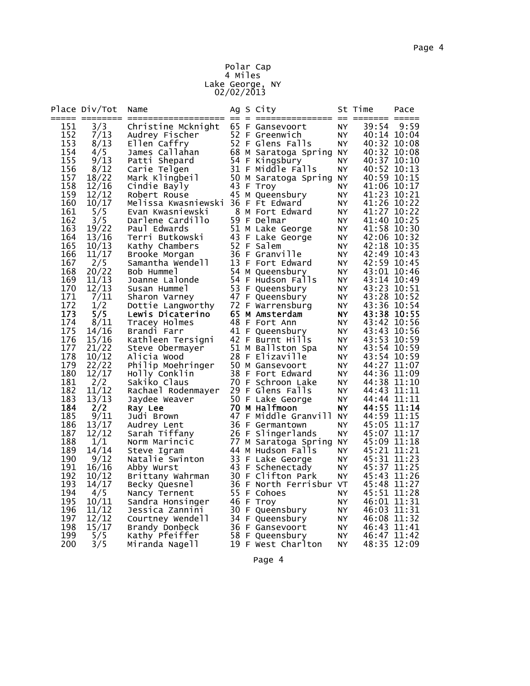# Page 4

### Polar Cap 4 Miles Lake George, NY 02/02/2013

| 65 F Gansevoort<br>3/3<br>39:54<br>9:59<br>151<br>Christine Mcknight<br>NY.<br>152<br>7/13<br>52 F Greenwich<br>40:14 10:04<br>Audrey Fischer<br>NY.<br>153<br>8/13<br>52 F Glens Falls<br>40:32 10:08<br>Ellen Caffry<br>NY<br>154<br>68 M Saratoga Spring NY<br>4/5<br>40:32 10:08<br>James Callahan<br>155<br>9/13<br>Patti Shepard<br>54 F Kingsbury<br>40:37 10:10<br>NY.<br>156<br>31 F Middle Falls<br>8/12<br>40:52 10:13<br>NY<br>Carie Telgen<br>157<br>40:59 10:15<br>18/22<br>50 M Saratoga Spring<br>Mark Klingbeil<br>NY.<br>158<br>12/16<br>43 F Troy<br>41:06 10:17<br>Cindie Bayly<br>NY.<br>159<br>12/12<br>45 M Queensbury<br>41:23 10:21<br>Robert Rouse<br>NY<br>160<br>10/17<br>Melissa Kwasniewski 36 F Ft Edward<br>41:26 10:22<br>ΝY<br>161<br>8 M Fort Edward<br>5/5<br>41:27 10:22<br>Evan Kwasniewski<br>NY.<br>162<br>59 F Delmar<br>3/5<br>Darlene Cardillo<br>41:40 10:25<br>NY.<br>51 M Lake George<br>163<br>19/22<br>41:58 10:30<br>Paul Edwards<br>NY.<br>164<br>43 F Lake George<br>42:06 10:32<br>13/16<br>Terri Butkowski<br>NY<br>52 F Salem<br>165<br>42:18 10:35<br>10/13<br>Kathy Chambers<br>NY.<br>166<br>11/17<br>36 F Granville<br>42:49 10:43<br>Brooke Morgan<br>NY.<br>2/5<br>13 F Fort Edward<br>42:59 10:45<br>167<br>Samantha Wendell<br>NY<br>168<br>20/22<br>54 M Queensbury<br>43:01 10:46<br>NY<br>Bob Hummel<br>169<br>11/13<br>54 F Hudson Falls<br>43:14 10:49<br>NY<br>Joanne Lalonde<br>53 F Queensbury<br>170<br>43:23 10:51<br>12/13<br>Susan Hummel<br>ΝY<br>171<br>47 F Queensbury<br>43:28 10:52<br>7/11<br>NY.<br>Sharon Varney<br>72 F Warrensburg<br>172<br>1/2<br>43:36 10:54<br>Dottie Langworthy<br>NY.<br>173<br>5/5<br>65 M Amsterdam<br>43:38 10:55<br>NY.<br>Lewis Dicaterino<br>174<br>8/11<br>48 F Fort Ann<br>43:42 10:56<br>NY<br>Tracey Holmes<br>175<br>14/16<br>41 F Queensbury<br>43:43 10:56<br>Brandi Farr<br>NY<br>42 F Burnt Hills<br>176<br>15/16<br>43:53 10:59<br>Kathleen Tersigni<br>NY<br>51 M Ballston Spa<br>177<br>43:54 10:59<br>21/22<br>NY.<br>Steve Obermayer<br>178<br>10/12<br>28 F Elizaville<br>43:54 10:59<br>Alicia Wood<br>NY.<br>179<br>50 M Gansevoort<br>44:27 11:07<br>22/22<br>Philip Moehringer<br>NY<br>180<br>12/17<br>44:36 11:09<br>38 F Fort Edward<br>Holly Conklin<br>NY<br>181<br>2/2<br>70 F Schroon Lake<br>44:38 11:10<br>Sakiko Claus<br>NY.<br>29 F Glens Falls<br>182<br>11/12<br>44:43 11:11<br>Rachael Rodenmayer<br>NY.<br>13/13<br>183<br>50 F Lake George<br>44:44 11:11<br>Jaydee Weaver<br>ΝY<br>184<br>2/2<br>70 M Halfmoon<br>44:55 11:14<br>Ray Lee<br>NY.<br>185<br>47 F Middle Granvill<br>44:59 11:15<br>9/11<br>Judi Brown<br><b>NY</b><br>186<br>36 F Germantown<br>13/17<br>45:05 11:17<br>Audrey Lent<br>ΝY<br>187<br>26 F Slingerlands<br>12/12<br>45:07 11:17<br>Sarah Tiffany<br>NY.<br>188<br>1/1<br>77 M Saratoga Spring<br>45:09 11:18<br>Norm Marincic<br>NY<br>189<br>14/14<br>44 M Hudson Falls<br>45:21 11:21<br>Steve Igram<br>ΝY<br>190<br>33 F Lake George<br>9/12<br>45:31 11:23<br>Natalie Swinton<br>ΝY<br>191<br>43 F Schenectady<br>16/16<br>45:37 11:25<br>Abby Wurst<br>NY<br>192<br>10/12<br>30 F Clifton Park<br>45:43 11:26<br>NY<br>Brittany Wahrman<br>193<br>36 F North Ferrisbur VT<br>14/17<br>45:48 11:27<br>Becky Quesnel<br>194<br>55 F Cohoes<br>45:51 11:28<br>4/5<br>NY<br>Nancy Ternent<br>195<br>10/11<br>46 F Troy<br>46:01 11:31<br>NY<br>Sandra Honsinger<br>196<br>11/12<br>30 F Queensbury<br>46:03 11:31<br>NY.<br>Jessica Zannini<br>197<br>12/12<br>34 F Queensbury<br>46:08 11:32<br>Courtney Wendell<br>NY.<br>198<br>15/17<br>36 F Gansevoort<br>Brandy Donbeck<br>46:43 11:41<br>NY<br>199<br>Kathy Pfeiffer<br>58 F Queensbury<br>46:47 11:42<br>5/5<br>NY.<br>200<br>3/5<br>19 F West Charlton<br>48:35 12:09<br>Miranda Nagell<br>NY. | Place Div/Tot | Name |  | Ag S City | St Time | Pace |
|-------------------------------------------------------------------------------------------------------------------------------------------------------------------------------------------------------------------------------------------------------------------------------------------------------------------------------------------------------------------------------------------------------------------------------------------------------------------------------------------------------------------------------------------------------------------------------------------------------------------------------------------------------------------------------------------------------------------------------------------------------------------------------------------------------------------------------------------------------------------------------------------------------------------------------------------------------------------------------------------------------------------------------------------------------------------------------------------------------------------------------------------------------------------------------------------------------------------------------------------------------------------------------------------------------------------------------------------------------------------------------------------------------------------------------------------------------------------------------------------------------------------------------------------------------------------------------------------------------------------------------------------------------------------------------------------------------------------------------------------------------------------------------------------------------------------------------------------------------------------------------------------------------------------------------------------------------------------------------------------------------------------------------------------------------------------------------------------------------------------------------------------------------------------------------------------------------------------------------------------------------------------------------------------------------------------------------------------------------------------------------------------------------------------------------------------------------------------------------------------------------------------------------------------------------------------------------------------------------------------------------------------------------------------------------------------------------------------------------------------------------------------------------------------------------------------------------------------------------------------------------------------------------------------------------------------------------------------------------------------------------------------------------------------------------------------------------------------------------------------------------------------------------------------------------------------------------------------------------------------------------------------------------------------------------------------------------------------------------------------------------------------------------------------------------------------------------------------------------------------------------------------------------------------------------------------------------------------------------------------------------------------------------------------------------------------------------------------------------------------------------------------------------------------------------------------------------------------|---------------|------|--|-----------|---------|------|
|                                                                                                                                                                                                                                                                                                                                                                                                                                                                                                                                                                                                                                                                                                                                                                                                                                                                                                                                                                                                                                                                                                                                                                                                                                                                                                                                                                                                                                                                                                                                                                                                                                                                                                                                                                                                                                                                                                                                                                                                                                                                                                                                                                                                                                                                                                                                                                                                                                                                                                                                                                                                                                                                                                                                                                                                                                                                                                                                                                                                                                                                                                                                                                                                                                                                                                                                                                                                                                                                                                                                                                                                                                                                                                                                                                                                                                           |               |      |  |           |         |      |
|                                                                                                                                                                                                                                                                                                                                                                                                                                                                                                                                                                                                                                                                                                                                                                                                                                                                                                                                                                                                                                                                                                                                                                                                                                                                                                                                                                                                                                                                                                                                                                                                                                                                                                                                                                                                                                                                                                                                                                                                                                                                                                                                                                                                                                                                                                                                                                                                                                                                                                                                                                                                                                                                                                                                                                                                                                                                                                                                                                                                                                                                                                                                                                                                                                                                                                                                                                                                                                                                                                                                                                                                                                                                                                                                                                                                                                           |               |      |  |           |         |      |
|                                                                                                                                                                                                                                                                                                                                                                                                                                                                                                                                                                                                                                                                                                                                                                                                                                                                                                                                                                                                                                                                                                                                                                                                                                                                                                                                                                                                                                                                                                                                                                                                                                                                                                                                                                                                                                                                                                                                                                                                                                                                                                                                                                                                                                                                                                                                                                                                                                                                                                                                                                                                                                                                                                                                                                                                                                                                                                                                                                                                                                                                                                                                                                                                                                                                                                                                                                                                                                                                                                                                                                                                                                                                                                                                                                                                                                           |               |      |  |           |         |      |
|                                                                                                                                                                                                                                                                                                                                                                                                                                                                                                                                                                                                                                                                                                                                                                                                                                                                                                                                                                                                                                                                                                                                                                                                                                                                                                                                                                                                                                                                                                                                                                                                                                                                                                                                                                                                                                                                                                                                                                                                                                                                                                                                                                                                                                                                                                                                                                                                                                                                                                                                                                                                                                                                                                                                                                                                                                                                                                                                                                                                                                                                                                                                                                                                                                                                                                                                                                                                                                                                                                                                                                                                                                                                                                                                                                                                                                           |               |      |  |           |         |      |
|                                                                                                                                                                                                                                                                                                                                                                                                                                                                                                                                                                                                                                                                                                                                                                                                                                                                                                                                                                                                                                                                                                                                                                                                                                                                                                                                                                                                                                                                                                                                                                                                                                                                                                                                                                                                                                                                                                                                                                                                                                                                                                                                                                                                                                                                                                                                                                                                                                                                                                                                                                                                                                                                                                                                                                                                                                                                                                                                                                                                                                                                                                                                                                                                                                                                                                                                                                                                                                                                                                                                                                                                                                                                                                                                                                                                                                           |               |      |  |           |         |      |
|                                                                                                                                                                                                                                                                                                                                                                                                                                                                                                                                                                                                                                                                                                                                                                                                                                                                                                                                                                                                                                                                                                                                                                                                                                                                                                                                                                                                                                                                                                                                                                                                                                                                                                                                                                                                                                                                                                                                                                                                                                                                                                                                                                                                                                                                                                                                                                                                                                                                                                                                                                                                                                                                                                                                                                                                                                                                                                                                                                                                                                                                                                                                                                                                                                                                                                                                                                                                                                                                                                                                                                                                                                                                                                                                                                                                                                           |               |      |  |           |         |      |
|                                                                                                                                                                                                                                                                                                                                                                                                                                                                                                                                                                                                                                                                                                                                                                                                                                                                                                                                                                                                                                                                                                                                                                                                                                                                                                                                                                                                                                                                                                                                                                                                                                                                                                                                                                                                                                                                                                                                                                                                                                                                                                                                                                                                                                                                                                                                                                                                                                                                                                                                                                                                                                                                                                                                                                                                                                                                                                                                                                                                                                                                                                                                                                                                                                                                                                                                                                                                                                                                                                                                                                                                                                                                                                                                                                                                                                           |               |      |  |           |         |      |
|                                                                                                                                                                                                                                                                                                                                                                                                                                                                                                                                                                                                                                                                                                                                                                                                                                                                                                                                                                                                                                                                                                                                                                                                                                                                                                                                                                                                                                                                                                                                                                                                                                                                                                                                                                                                                                                                                                                                                                                                                                                                                                                                                                                                                                                                                                                                                                                                                                                                                                                                                                                                                                                                                                                                                                                                                                                                                                                                                                                                                                                                                                                                                                                                                                                                                                                                                                                                                                                                                                                                                                                                                                                                                                                                                                                                                                           |               |      |  |           |         |      |
|                                                                                                                                                                                                                                                                                                                                                                                                                                                                                                                                                                                                                                                                                                                                                                                                                                                                                                                                                                                                                                                                                                                                                                                                                                                                                                                                                                                                                                                                                                                                                                                                                                                                                                                                                                                                                                                                                                                                                                                                                                                                                                                                                                                                                                                                                                                                                                                                                                                                                                                                                                                                                                                                                                                                                                                                                                                                                                                                                                                                                                                                                                                                                                                                                                                                                                                                                                                                                                                                                                                                                                                                                                                                                                                                                                                                                                           |               |      |  |           |         |      |
|                                                                                                                                                                                                                                                                                                                                                                                                                                                                                                                                                                                                                                                                                                                                                                                                                                                                                                                                                                                                                                                                                                                                                                                                                                                                                                                                                                                                                                                                                                                                                                                                                                                                                                                                                                                                                                                                                                                                                                                                                                                                                                                                                                                                                                                                                                                                                                                                                                                                                                                                                                                                                                                                                                                                                                                                                                                                                                                                                                                                                                                                                                                                                                                                                                                                                                                                                                                                                                                                                                                                                                                                                                                                                                                                                                                                                                           |               |      |  |           |         |      |
|                                                                                                                                                                                                                                                                                                                                                                                                                                                                                                                                                                                                                                                                                                                                                                                                                                                                                                                                                                                                                                                                                                                                                                                                                                                                                                                                                                                                                                                                                                                                                                                                                                                                                                                                                                                                                                                                                                                                                                                                                                                                                                                                                                                                                                                                                                                                                                                                                                                                                                                                                                                                                                                                                                                                                                                                                                                                                                                                                                                                                                                                                                                                                                                                                                                                                                                                                                                                                                                                                                                                                                                                                                                                                                                                                                                                                                           |               |      |  |           |         |      |
|                                                                                                                                                                                                                                                                                                                                                                                                                                                                                                                                                                                                                                                                                                                                                                                                                                                                                                                                                                                                                                                                                                                                                                                                                                                                                                                                                                                                                                                                                                                                                                                                                                                                                                                                                                                                                                                                                                                                                                                                                                                                                                                                                                                                                                                                                                                                                                                                                                                                                                                                                                                                                                                                                                                                                                                                                                                                                                                                                                                                                                                                                                                                                                                                                                                                                                                                                                                                                                                                                                                                                                                                                                                                                                                                                                                                                                           |               |      |  |           |         |      |
|                                                                                                                                                                                                                                                                                                                                                                                                                                                                                                                                                                                                                                                                                                                                                                                                                                                                                                                                                                                                                                                                                                                                                                                                                                                                                                                                                                                                                                                                                                                                                                                                                                                                                                                                                                                                                                                                                                                                                                                                                                                                                                                                                                                                                                                                                                                                                                                                                                                                                                                                                                                                                                                                                                                                                                                                                                                                                                                                                                                                                                                                                                                                                                                                                                                                                                                                                                                                                                                                                                                                                                                                                                                                                                                                                                                                                                           |               |      |  |           |         |      |
|                                                                                                                                                                                                                                                                                                                                                                                                                                                                                                                                                                                                                                                                                                                                                                                                                                                                                                                                                                                                                                                                                                                                                                                                                                                                                                                                                                                                                                                                                                                                                                                                                                                                                                                                                                                                                                                                                                                                                                                                                                                                                                                                                                                                                                                                                                                                                                                                                                                                                                                                                                                                                                                                                                                                                                                                                                                                                                                                                                                                                                                                                                                                                                                                                                                                                                                                                                                                                                                                                                                                                                                                                                                                                                                                                                                                                                           |               |      |  |           |         |      |
|                                                                                                                                                                                                                                                                                                                                                                                                                                                                                                                                                                                                                                                                                                                                                                                                                                                                                                                                                                                                                                                                                                                                                                                                                                                                                                                                                                                                                                                                                                                                                                                                                                                                                                                                                                                                                                                                                                                                                                                                                                                                                                                                                                                                                                                                                                                                                                                                                                                                                                                                                                                                                                                                                                                                                                                                                                                                                                                                                                                                                                                                                                                                                                                                                                                                                                                                                                                                                                                                                                                                                                                                                                                                                                                                                                                                                                           |               |      |  |           |         |      |
|                                                                                                                                                                                                                                                                                                                                                                                                                                                                                                                                                                                                                                                                                                                                                                                                                                                                                                                                                                                                                                                                                                                                                                                                                                                                                                                                                                                                                                                                                                                                                                                                                                                                                                                                                                                                                                                                                                                                                                                                                                                                                                                                                                                                                                                                                                                                                                                                                                                                                                                                                                                                                                                                                                                                                                                                                                                                                                                                                                                                                                                                                                                                                                                                                                                                                                                                                                                                                                                                                                                                                                                                                                                                                                                                                                                                                                           |               |      |  |           |         |      |
|                                                                                                                                                                                                                                                                                                                                                                                                                                                                                                                                                                                                                                                                                                                                                                                                                                                                                                                                                                                                                                                                                                                                                                                                                                                                                                                                                                                                                                                                                                                                                                                                                                                                                                                                                                                                                                                                                                                                                                                                                                                                                                                                                                                                                                                                                                                                                                                                                                                                                                                                                                                                                                                                                                                                                                                                                                                                                                                                                                                                                                                                                                                                                                                                                                                                                                                                                                                                                                                                                                                                                                                                                                                                                                                                                                                                                                           |               |      |  |           |         |      |
|                                                                                                                                                                                                                                                                                                                                                                                                                                                                                                                                                                                                                                                                                                                                                                                                                                                                                                                                                                                                                                                                                                                                                                                                                                                                                                                                                                                                                                                                                                                                                                                                                                                                                                                                                                                                                                                                                                                                                                                                                                                                                                                                                                                                                                                                                                                                                                                                                                                                                                                                                                                                                                                                                                                                                                                                                                                                                                                                                                                                                                                                                                                                                                                                                                                                                                                                                                                                                                                                                                                                                                                                                                                                                                                                                                                                                                           |               |      |  |           |         |      |
|                                                                                                                                                                                                                                                                                                                                                                                                                                                                                                                                                                                                                                                                                                                                                                                                                                                                                                                                                                                                                                                                                                                                                                                                                                                                                                                                                                                                                                                                                                                                                                                                                                                                                                                                                                                                                                                                                                                                                                                                                                                                                                                                                                                                                                                                                                                                                                                                                                                                                                                                                                                                                                                                                                                                                                                                                                                                                                                                                                                                                                                                                                                                                                                                                                                                                                                                                                                                                                                                                                                                                                                                                                                                                                                                                                                                                                           |               |      |  |           |         |      |
|                                                                                                                                                                                                                                                                                                                                                                                                                                                                                                                                                                                                                                                                                                                                                                                                                                                                                                                                                                                                                                                                                                                                                                                                                                                                                                                                                                                                                                                                                                                                                                                                                                                                                                                                                                                                                                                                                                                                                                                                                                                                                                                                                                                                                                                                                                                                                                                                                                                                                                                                                                                                                                                                                                                                                                                                                                                                                                                                                                                                                                                                                                                                                                                                                                                                                                                                                                                                                                                                                                                                                                                                                                                                                                                                                                                                                                           |               |      |  |           |         |      |
|                                                                                                                                                                                                                                                                                                                                                                                                                                                                                                                                                                                                                                                                                                                                                                                                                                                                                                                                                                                                                                                                                                                                                                                                                                                                                                                                                                                                                                                                                                                                                                                                                                                                                                                                                                                                                                                                                                                                                                                                                                                                                                                                                                                                                                                                                                                                                                                                                                                                                                                                                                                                                                                                                                                                                                                                                                                                                                                                                                                                                                                                                                                                                                                                                                                                                                                                                                                                                                                                                                                                                                                                                                                                                                                                                                                                                                           |               |      |  |           |         |      |
|                                                                                                                                                                                                                                                                                                                                                                                                                                                                                                                                                                                                                                                                                                                                                                                                                                                                                                                                                                                                                                                                                                                                                                                                                                                                                                                                                                                                                                                                                                                                                                                                                                                                                                                                                                                                                                                                                                                                                                                                                                                                                                                                                                                                                                                                                                                                                                                                                                                                                                                                                                                                                                                                                                                                                                                                                                                                                                                                                                                                                                                                                                                                                                                                                                                                                                                                                                                                                                                                                                                                                                                                                                                                                                                                                                                                                                           |               |      |  |           |         |      |
|                                                                                                                                                                                                                                                                                                                                                                                                                                                                                                                                                                                                                                                                                                                                                                                                                                                                                                                                                                                                                                                                                                                                                                                                                                                                                                                                                                                                                                                                                                                                                                                                                                                                                                                                                                                                                                                                                                                                                                                                                                                                                                                                                                                                                                                                                                                                                                                                                                                                                                                                                                                                                                                                                                                                                                                                                                                                                                                                                                                                                                                                                                                                                                                                                                                                                                                                                                                                                                                                                                                                                                                                                                                                                                                                                                                                                                           |               |      |  |           |         |      |
|                                                                                                                                                                                                                                                                                                                                                                                                                                                                                                                                                                                                                                                                                                                                                                                                                                                                                                                                                                                                                                                                                                                                                                                                                                                                                                                                                                                                                                                                                                                                                                                                                                                                                                                                                                                                                                                                                                                                                                                                                                                                                                                                                                                                                                                                                                                                                                                                                                                                                                                                                                                                                                                                                                                                                                                                                                                                                                                                                                                                                                                                                                                                                                                                                                                                                                                                                                                                                                                                                                                                                                                                                                                                                                                                                                                                                                           |               |      |  |           |         |      |
|                                                                                                                                                                                                                                                                                                                                                                                                                                                                                                                                                                                                                                                                                                                                                                                                                                                                                                                                                                                                                                                                                                                                                                                                                                                                                                                                                                                                                                                                                                                                                                                                                                                                                                                                                                                                                                                                                                                                                                                                                                                                                                                                                                                                                                                                                                                                                                                                                                                                                                                                                                                                                                                                                                                                                                                                                                                                                                                                                                                                                                                                                                                                                                                                                                                                                                                                                                                                                                                                                                                                                                                                                                                                                                                                                                                                                                           |               |      |  |           |         |      |
|                                                                                                                                                                                                                                                                                                                                                                                                                                                                                                                                                                                                                                                                                                                                                                                                                                                                                                                                                                                                                                                                                                                                                                                                                                                                                                                                                                                                                                                                                                                                                                                                                                                                                                                                                                                                                                                                                                                                                                                                                                                                                                                                                                                                                                                                                                                                                                                                                                                                                                                                                                                                                                                                                                                                                                                                                                                                                                                                                                                                                                                                                                                                                                                                                                                                                                                                                                                                                                                                                                                                                                                                                                                                                                                                                                                                                                           |               |      |  |           |         |      |
|                                                                                                                                                                                                                                                                                                                                                                                                                                                                                                                                                                                                                                                                                                                                                                                                                                                                                                                                                                                                                                                                                                                                                                                                                                                                                                                                                                                                                                                                                                                                                                                                                                                                                                                                                                                                                                                                                                                                                                                                                                                                                                                                                                                                                                                                                                                                                                                                                                                                                                                                                                                                                                                                                                                                                                                                                                                                                                                                                                                                                                                                                                                                                                                                                                                                                                                                                                                                                                                                                                                                                                                                                                                                                                                                                                                                                                           |               |      |  |           |         |      |
|                                                                                                                                                                                                                                                                                                                                                                                                                                                                                                                                                                                                                                                                                                                                                                                                                                                                                                                                                                                                                                                                                                                                                                                                                                                                                                                                                                                                                                                                                                                                                                                                                                                                                                                                                                                                                                                                                                                                                                                                                                                                                                                                                                                                                                                                                                                                                                                                                                                                                                                                                                                                                                                                                                                                                                                                                                                                                                                                                                                                                                                                                                                                                                                                                                                                                                                                                                                                                                                                                                                                                                                                                                                                                                                                                                                                                                           |               |      |  |           |         |      |
|                                                                                                                                                                                                                                                                                                                                                                                                                                                                                                                                                                                                                                                                                                                                                                                                                                                                                                                                                                                                                                                                                                                                                                                                                                                                                                                                                                                                                                                                                                                                                                                                                                                                                                                                                                                                                                                                                                                                                                                                                                                                                                                                                                                                                                                                                                                                                                                                                                                                                                                                                                                                                                                                                                                                                                                                                                                                                                                                                                                                                                                                                                                                                                                                                                                                                                                                                                                                                                                                                                                                                                                                                                                                                                                                                                                                                                           |               |      |  |           |         |      |
|                                                                                                                                                                                                                                                                                                                                                                                                                                                                                                                                                                                                                                                                                                                                                                                                                                                                                                                                                                                                                                                                                                                                                                                                                                                                                                                                                                                                                                                                                                                                                                                                                                                                                                                                                                                                                                                                                                                                                                                                                                                                                                                                                                                                                                                                                                                                                                                                                                                                                                                                                                                                                                                                                                                                                                                                                                                                                                                                                                                                                                                                                                                                                                                                                                                                                                                                                                                                                                                                                                                                                                                                                                                                                                                                                                                                                                           |               |      |  |           |         |      |
|                                                                                                                                                                                                                                                                                                                                                                                                                                                                                                                                                                                                                                                                                                                                                                                                                                                                                                                                                                                                                                                                                                                                                                                                                                                                                                                                                                                                                                                                                                                                                                                                                                                                                                                                                                                                                                                                                                                                                                                                                                                                                                                                                                                                                                                                                                                                                                                                                                                                                                                                                                                                                                                                                                                                                                                                                                                                                                                                                                                                                                                                                                                                                                                                                                                                                                                                                                                                                                                                                                                                                                                                                                                                                                                                                                                                                                           |               |      |  |           |         |      |
|                                                                                                                                                                                                                                                                                                                                                                                                                                                                                                                                                                                                                                                                                                                                                                                                                                                                                                                                                                                                                                                                                                                                                                                                                                                                                                                                                                                                                                                                                                                                                                                                                                                                                                                                                                                                                                                                                                                                                                                                                                                                                                                                                                                                                                                                                                                                                                                                                                                                                                                                                                                                                                                                                                                                                                                                                                                                                                                                                                                                                                                                                                                                                                                                                                                                                                                                                                                                                                                                                                                                                                                                                                                                                                                                                                                                                                           |               |      |  |           |         |      |
|                                                                                                                                                                                                                                                                                                                                                                                                                                                                                                                                                                                                                                                                                                                                                                                                                                                                                                                                                                                                                                                                                                                                                                                                                                                                                                                                                                                                                                                                                                                                                                                                                                                                                                                                                                                                                                                                                                                                                                                                                                                                                                                                                                                                                                                                                                                                                                                                                                                                                                                                                                                                                                                                                                                                                                                                                                                                                                                                                                                                                                                                                                                                                                                                                                                                                                                                                                                                                                                                                                                                                                                                                                                                                                                                                                                                                                           |               |      |  |           |         |      |
|                                                                                                                                                                                                                                                                                                                                                                                                                                                                                                                                                                                                                                                                                                                                                                                                                                                                                                                                                                                                                                                                                                                                                                                                                                                                                                                                                                                                                                                                                                                                                                                                                                                                                                                                                                                                                                                                                                                                                                                                                                                                                                                                                                                                                                                                                                                                                                                                                                                                                                                                                                                                                                                                                                                                                                                                                                                                                                                                                                                                                                                                                                                                                                                                                                                                                                                                                                                                                                                                                                                                                                                                                                                                                                                                                                                                                                           |               |      |  |           |         |      |
|                                                                                                                                                                                                                                                                                                                                                                                                                                                                                                                                                                                                                                                                                                                                                                                                                                                                                                                                                                                                                                                                                                                                                                                                                                                                                                                                                                                                                                                                                                                                                                                                                                                                                                                                                                                                                                                                                                                                                                                                                                                                                                                                                                                                                                                                                                                                                                                                                                                                                                                                                                                                                                                                                                                                                                                                                                                                                                                                                                                                                                                                                                                                                                                                                                                                                                                                                                                                                                                                                                                                                                                                                                                                                                                                                                                                                                           |               |      |  |           |         |      |
|                                                                                                                                                                                                                                                                                                                                                                                                                                                                                                                                                                                                                                                                                                                                                                                                                                                                                                                                                                                                                                                                                                                                                                                                                                                                                                                                                                                                                                                                                                                                                                                                                                                                                                                                                                                                                                                                                                                                                                                                                                                                                                                                                                                                                                                                                                                                                                                                                                                                                                                                                                                                                                                                                                                                                                                                                                                                                                                                                                                                                                                                                                                                                                                                                                                                                                                                                                                                                                                                                                                                                                                                                                                                                                                                                                                                                                           |               |      |  |           |         |      |
|                                                                                                                                                                                                                                                                                                                                                                                                                                                                                                                                                                                                                                                                                                                                                                                                                                                                                                                                                                                                                                                                                                                                                                                                                                                                                                                                                                                                                                                                                                                                                                                                                                                                                                                                                                                                                                                                                                                                                                                                                                                                                                                                                                                                                                                                                                                                                                                                                                                                                                                                                                                                                                                                                                                                                                                                                                                                                                                                                                                                                                                                                                                                                                                                                                                                                                                                                                                                                                                                                                                                                                                                                                                                                                                                                                                                                                           |               |      |  |           |         |      |
|                                                                                                                                                                                                                                                                                                                                                                                                                                                                                                                                                                                                                                                                                                                                                                                                                                                                                                                                                                                                                                                                                                                                                                                                                                                                                                                                                                                                                                                                                                                                                                                                                                                                                                                                                                                                                                                                                                                                                                                                                                                                                                                                                                                                                                                                                                                                                                                                                                                                                                                                                                                                                                                                                                                                                                                                                                                                                                                                                                                                                                                                                                                                                                                                                                                                                                                                                                                                                                                                                                                                                                                                                                                                                                                                                                                                                                           |               |      |  |           |         |      |
|                                                                                                                                                                                                                                                                                                                                                                                                                                                                                                                                                                                                                                                                                                                                                                                                                                                                                                                                                                                                                                                                                                                                                                                                                                                                                                                                                                                                                                                                                                                                                                                                                                                                                                                                                                                                                                                                                                                                                                                                                                                                                                                                                                                                                                                                                                                                                                                                                                                                                                                                                                                                                                                                                                                                                                                                                                                                                                                                                                                                                                                                                                                                                                                                                                                                                                                                                                                                                                                                                                                                                                                                                                                                                                                                                                                                                                           |               |      |  |           |         |      |
|                                                                                                                                                                                                                                                                                                                                                                                                                                                                                                                                                                                                                                                                                                                                                                                                                                                                                                                                                                                                                                                                                                                                                                                                                                                                                                                                                                                                                                                                                                                                                                                                                                                                                                                                                                                                                                                                                                                                                                                                                                                                                                                                                                                                                                                                                                                                                                                                                                                                                                                                                                                                                                                                                                                                                                                                                                                                                                                                                                                                                                                                                                                                                                                                                                                                                                                                                                                                                                                                                                                                                                                                                                                                                                                                                                                                                                           |               |      |  |           |         |      |
|                                                                                                                                                                                                                                                                                                                                                                                                                                                                                                                                                                                                                                                                                                                                                                                                                                                                                                                                                                                                                                                                                                                                                                                                                                                                                                                                                                                                                                                                                                                                                                                                                                                                                                                                                                                                                                                                                                                                                                                                                                                                                                                                                                                                                                                                                                                                                                                                                                                                                                                                                                                                                                                                                                                                                                                                                                                                                                                                                                                                                                                                                                                                                                                                                                                                                                                                                                                                                                                                                                                                                                                                                                                                                                                                                                                                                                           |               |      |  |           |         |      |
|                                                                                                                                                                                                                                                                                                                                                                                                                                                                                                                                                                                                                                                                                                                                                                                                                                                                                                                                                                                                                                                                                                                                                                                                                                                                                                                                                                                                                                                                                                                                                                                                                                                                                                                                                                                                                                                                                                                                                                                                                                                                                                                                                                                                                                                                                                                                                                                                                                                                                                                                                                                                                                                                                                                                                                                                                                                                                                                                                                                                                                                                                                                                                                                                                                                                                                                                                                                                                                                                                                                                                                                                                                                                                                                                                                                                                                           |               |      |  |           |         |      |
|                                                                                                                                                                                                                                                                                                                                                                                                                                                                                                                                                                                                                                                                                                                                                                                                                                                                                                                                                                                                                                                                                                                                                                                                                                                                                                                                                                                                                                                                                                                                                                                                                                                                                                                                                                                                                                                                                                                                                                                                                                                                                                                                                                                                                                                                                                                                                                                                                                                                                                                                                                                                                                                                                                                                                                                                                                                                                                                                                                                                                                                                                                                                                                                                                                                                                                                                                                                                                                                                                                                                                                                                                                                                                                                                                                                                                                           |               |      |  |           |         |      |
|                                                                                                                                                                                                                                                                                                                                                                                                                                                                                                                                                                                                                                                                                                                                                                                                                                                                                                                                                                                                                                                                                                                                                                                                                                                                                                                                                                                                                                                                                                                                                                                                                                                                                                                                                                                                                                                                                                                                                                                                                                                                                                                                                                                                                                                                                                                                                                                                                                                                                                                                                                                                                                                                                                                                                                                                                                                                                                                                                                                                                                                                                                                                                                                                                                                                                                                                                                                                                                                                                                                                                                                                                                                                                                                                                                                                                                           |               |      |  |           |         |      |
|                                                                                                                                                                                                                                                                                                                                                                                                                                                                                                                                                                                                                                                                                                                                                                                                                                                                                                                                                                                                                                                                                                                                                                                                                                                                                                                                                                                                                                                                                                                                                                                                                                                                                                                                                                                                                                                                                                                                                                                                                                                                                                                                                                                                                                                                                                                                                                                                                                                                                                                                                                                                                                                                                                                                                                                                                                                                                                                                                                                                                                                                                                                                                                                                                                                                                                                                                                                                                                                                                                                                                                                                                                                                                                                                                                                                                                           |               |      |  |           |         |      |
|                                                                                                                                                                                                                                                                                                                                                                                                                                                                                                                                                                                                                                                                                                                                                                                                                                                                                                                                                                                                                                                                                                                                                                                                                                                                                                                                                                                                                                                                                                                                                                                                                                                                                                                                                                                                                                                                                                                                                                                                                                                                                                                                                                                                                                                                                                                                                                                                                                                                                                                                                                                                                                                                                                                                                                                                                                                                                                                                                                                                                                                                                                                                                                                                                                                                                                                                                                                                                                                                                                                                                                                                                                                                                                                                                                                                                                           |               |      |  |           |         |      |
|                                                                                                                                                                                                                                                                                                                                                                                                                                                                                                                                                                                                                                                                                                                                                                                                                                                                                                                                                                                                                                                                                                                                                                                                                                                                                                                                                                                                                                                                                                                                                                                                                                                                                                                                                                                                                                                                                                                                                                                                                                                                                                                                                                                                                                                                                                                                                                                                                                                                                                                                                                                                                                                                                                                                                                                                                                                                                                                                                                                                                                                                                                                                                                                                                                                                                                                                                                                                                                                                                                                                                                                                                                                                                                                                                                                                                                           |               |      |  |           |         |      |
|                                                                                                                                                                                                                                                                                                                                                                                                                                                                                                                                                                                                                                                                                                                                                                                                                                                                                                                                                                                                                                                                                                                                                                                                                                                                                                                                                                                                                                                                                                                                                                                                                                                                                                                                                                                                                                                                                                                                                                                                                                                                                                                                                                                                                                                                                                                                                                                                                                                                                                                                                                                                                                                                                                                                                                                                                                                                                                                                                                                                                                                                                                                                                                                                                                                                                                                                                                                                                                                                                                                                                                                                                                                                                                                                                                                                                                           |               |      |  |           |         |      |
|                                                                                                                                                                                                                                                                                                                                                                                                                                                                                                                                                                                                                                                                                                                                                                                                                                                                                                                                                                                                                                                                                                                                                                                                                                                                                                                                                                                                                                                                                                                                                                                                                                                                                                                                                                                                                                                                                                                                                                                                                                                                                                                                                                                                                                                                                                                                                                                                                                                                                                                                                                                                                                                                                                                                                                                                                                                                                                                                                                                                                                                                                                                                                                                                                                                                                                                                                                                                                                                                                                                                                                                                                                                                                                                                                                                                                                           |               |      |  |           |         |      |

Page 4